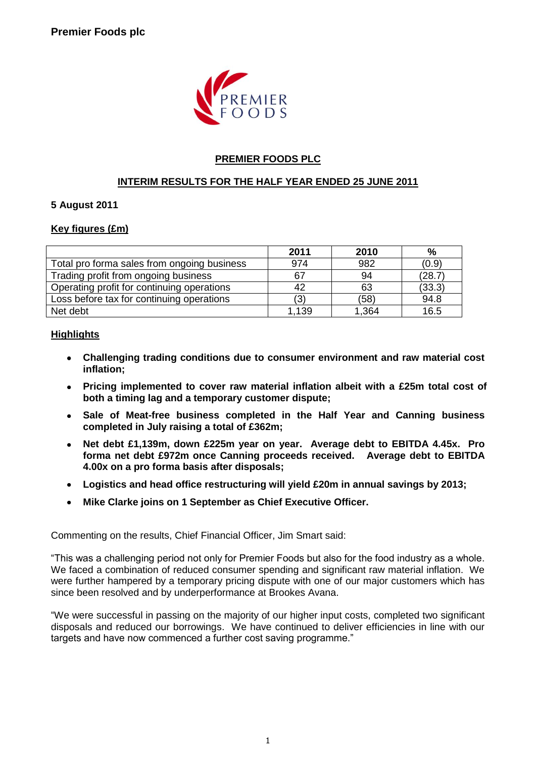

## **PREMIER FOODS PLC**

## **INTERIM RESULTS FOR THE HALF YEAR ENDED 25 JUNE 2011**

## **5 August 2011**

## **Key figures (£m)**

|                                             | 2011  | 2010  | %      |
|---------------------------------------------|-------|-------|--------|
| Total pro forma sales from ongoing business | 974   | 982   | (0.9)  |
| Trading profit from ongoing business        | 67    | 94    | (28.7  |
| Operating profit for continuing operations  | 42    | 63    | (33.3) |
| Loss before tax for continuing operations   | (3)   | (58)  | 94.8   |
| Net debt                                    | 1,139 | 1,364 | 16.5   |

## **Highlights**

- **Challenging trading conditions due to consumer environment and raw material cost inflation;**
- **Pricing implemented to cover raw material inflation albeit with a £25m total cost of**   $\bullet$ **both a timing lag and a temporary customer dispute;**
- **Sale of Meat-free business completed in the Half Year and Canning business**   $\bullet$ **completed in July raising a total of £362m;**
- **Net debt £1,139m, down £225m year on year. Average debt to EBITDA 4.45x. Pro forma net debt £972m once Canning proceeds received. Average debt to EBITDA 4.00x on a pro forma basis after disposals;**
- **Logistics and head office restructuring will yield £20m in annual savings by 2013;**
- **Mike Clarke joins on 1 September as Chief Executive Officer.**  $\bullet$

Commenting on the results, Chief Financial Officer, Jim Smart said:

"This was a challenging period not only for Premier Foods but also for the food industry as a whole. We faced a combination of reduced consumer spending and significant raw material inflation. We were further hampered by a temporary pricing dispute with one of our major customers which has since been resolved and by underperformance at Brookes Avana.

"We were successful in passing on the majority of our higher input costs, completed two significant disposals and reduced our borrowings. We have continued to deliver efficiencies in line with our targets and have now commenced a further cost saving programme."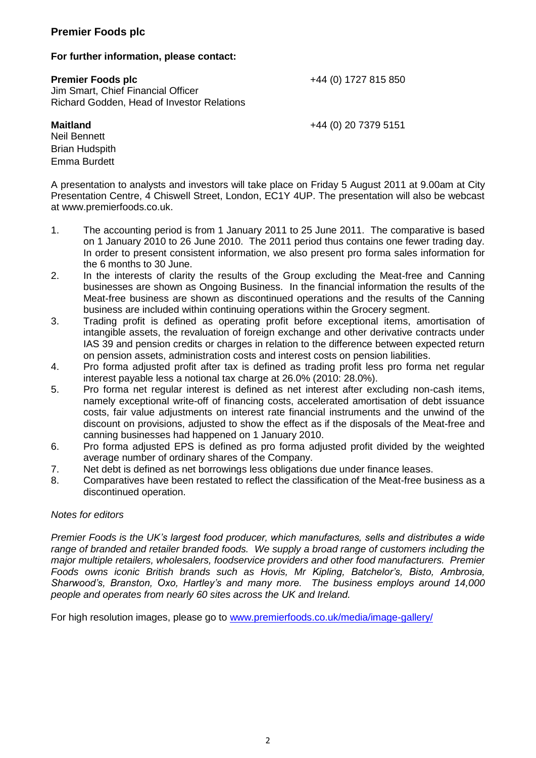### **For further information, please contact:**

**Premier Foods plc https://web/2015/2016/2016** 444 (0) 1727 815 850

Jim Smart, Chief Financial Officer Richard Godden, Head of Investor Relations

**Maitland** +44 (0) 20 7379 5151

Neil Bennett Brian Hudspith Emma Burdett

A presentation to analysts and investors will take place on Friday 5 August 2011 at 9.00am at City Presentation Centre, 4 Chiswell Street, London, EC1Y 4UP. The presentation will also be webcast at www.premierfoods.co.uk.

- 1. The accounting period is from 1 January 2011 to 25 June 2011. The comparative is based on 1 January 2010 to 26 June 2010. The 2011 period thus contains one fewer trading day. In order to present consistent information, we also present pro forma sales information for the 6 months to 30 June.
- 2. In the interests of clarity the results of the Group excluding the Meat-free and Canning businesses are shown as Ongoing Business. In the financial information the results of the Meat-free business are shown as discontinued operations and the results of the Canning business are included within continuing operations within the Grocery segment.
- 3. Trading profit is defined as operating profit before exceptional items, amortisation of intangible assets, the revaluation of foreign exchange and other derivative contracts under IAS 39 and pension credits or charges in relation to the difference between expected return on pension assets, administration costs and interest costs on pension liabilities.
- 4. Pro forma adjusted profit after tax is defined as trading profit less pro forma net regular interest payable less a notional tax charge at 26.0% (2010: 28.0%).
- 5. Pro forma net regular interest is defined as net interest after excluding non-cash items, namely exceptional write-off of financing costs, accelerated amortisation of debt issuance costs, fair value adjustments on interest rate financial instruments and the unwind of the discount on provisions, adjusted to show the effect as if the disposals of the Meat-free and canning businesses had happened on 1 January 2010.
- 6. Pro forma adjusted EPS is defined as pro forma adjusted profit divided by the weighted average number of ordinary shares of the Company.
- 7. Net debt is defined as net borrowings less obligations due under finance leases.
- 8. Comparatives have been restated to reflect the classification of the Meat-free business as a discontinued operation.

### *Notes for editors*

*Premier Foods is the UK's largest food producer, which manufactures, sells and distributes a wide range of branded and retailer branded foods. We supply a broad range of customers including the major multiple retailers, wholesalers, foodservice providers and other food manufacturers. Premier Foods owns iconic British brands such as Hovis, Mr Kipling, Batchelor's, Bisto, Ambrosia, Sharwood's, Branston, Oxo, Hartley's and many more. The business employs around 14,000 people and operates from nearly 60 sites across the UK and Ireland.*

For high resolution images, please go to [www.premierfoods.co.uk/media/image-gallery/](http://www.premierfoods.co.uk/media/image-gallery/)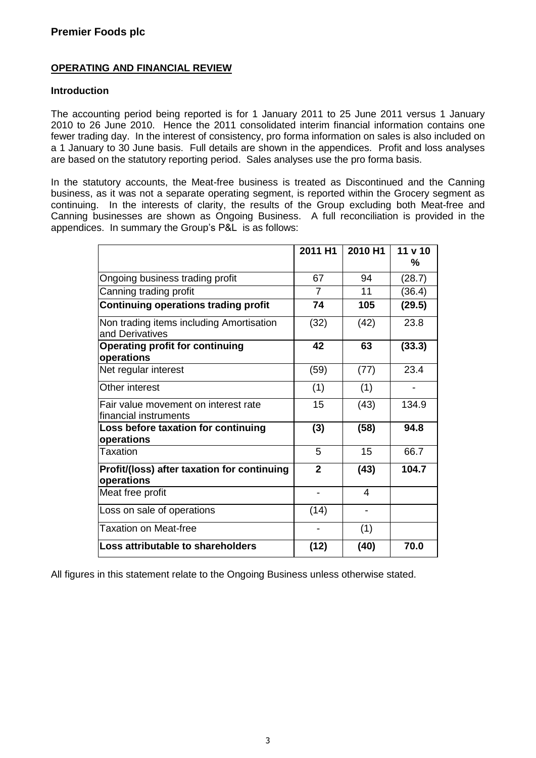## **OPERATING AND FINANCIAL REVIEW**

## **Introduction**

The accounting period being reported is for 1 January 2011 to 25 June 2011 versus 1 January 2010 to 26 June 2010. Hence the 2011 consolidated interim financial information contains one fewer trading day. In the interest of consistency, pro forma information on sales is also included on a 1 January to 30 June basis. Full details are shown in the appendices. Profit and loss analyses are based on the statutory reporting period. Sales analyses use the pro forma basis.

In the statutory accounts, the Meat-free business is treated as Discontinued and the Canning business, as it was not a separate operating segment, is reported within the Grocery segment as continuing. In the interests of clarity, the results of the Group excluding both Meat-free and Canning businesses are shown as Ongoing Business. A full reconciliation is provided in the appendices. In summary the Group"s P&L is as follows:

|                                                             | 2011 H1        | 2010 H1        | 11 <sub>v</sub> 10<br>% |
|-------------------------------------------------------------|----------------|----------------|-------------------------|
|                                                             |                |                |                         |
| Ongoing business trading profit                             | 67             | 94             | (28.7)                  |
| Canning trading profit                                      | $\overline{7}$ | 11             | (36.4)                  |
| <b>Continuing operations trading profit</b>                 | 74             | 105            | (29.5)                  |
| Non trading items including Amortisation<br>and Derivatives | (32)           | (42)           | 23.8                    |
| <b>Operating profit for continuing</b>                      | 42             | 63             | (33.3)                  |
| operations                                                  |                |                |                         |
| Net regular interest                                        | (59)           | (77)           | 23.4                    |
| Other interest                                              | (1)            | (1)            |                         |
| Fair value movement on interest rate                        | 15             | (43)           | 134.9                   |
| financial instruments                                       |                |                |                         |
| Loss before taxation for continuing                         | (3)            | (58)           | 94.8                    |
| operations                                                  |                |                |                         |
| Taxation                                                    | 5              | 15             | 66.7                    |
| Profit/(loss) after taxation for continuing                 | $\overline{2}$ | (43)           | 104.7                   |
| operations                                                  |                |                |                         |
| Meat free profit                                            |                | 4              |                         |
| Loss on sale of operations                                  | (14)           | $\blacksquare$ |                         |
| <b>Taxation on Meat-free</b>                                |                | (1)            |                         |
| Loss attributable to shareholders                           | (12)           | (40)           | 70.0                    |

All figures in this statement relate to the Ongoing Business unless otherwise stated.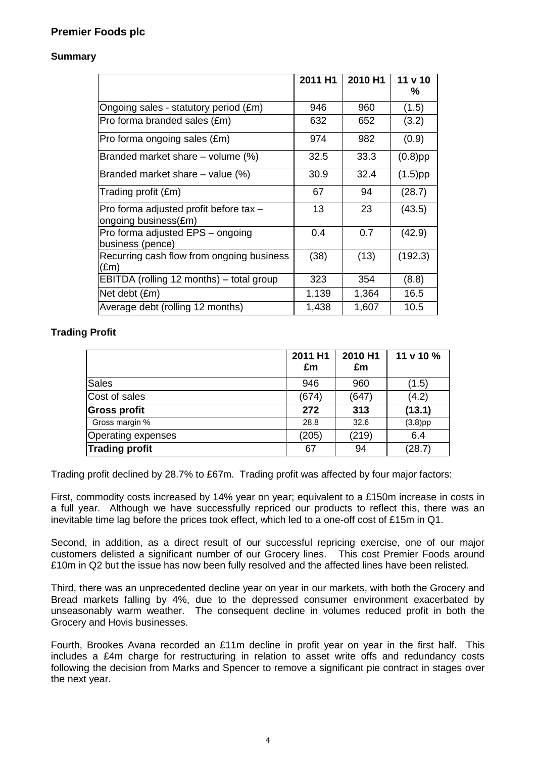## **Summary**

|                                                                | 2011 H1 | 2010 H1 | 11 <sub>v</sub> 10<br>% |
|----------------------------------------------------------------|---------|---------|-------------------------|
| Ongoing sales - statutory period (£m)                          | 946     | 960     | (1.5)                   |
| Pro forma branded sales (£m)                                   | 632     | 652     | (3.2)                   |
| Pro forma ongoing sales (£m)                                   | 974     | 982     | (0.9)                   |
| Branded market share – volume (%)                              | 32.5    | 33.3    | $(0.8)$ pp              |
| Branded market share – value (%)                               | 30.9    | 32.4    | $(1.5)$ pp              |
| Trading profit (£m)                                            | 67      | 94      | (28.7)                  |
| Pro forma adjusted profit before tax -<br>ongoing business(£m) | 13      | 23      | (43.5)                  |
| Pro forma adjusted EPS - ongoing<br>business (pence)           | 0.4     | 0.7     | (42.9)                  |
| Recurring cash flow from ongoing business<br>$(\text{Em})$     | (38)    | (13)    | (192.3)                 |
| EBITDA (rolling 12 months) – total group                       | 323     | 354     | (8.8)                   |
| Net debt (£m)                                                  | 1,139   | 1,364   | 16.5                    |
| Average debt (rolling 12 months)                               | 1,438   | 1,607   | 10.5                    |

## **Trading Profit**

|                       | 2011 H1<br>£m | 2010 H1<br>£m | 11 v 10 %  |
|-----------------------|---------------|---------------|------------|
| <b>Sales</b>          | 946           | 960           | (1.5)      |
| Cost of sales         | (674)         | (647)         | (4.2)      |
| <b>Gross profit</b>   | 272           | 313           | (13.1)     |
| Gross margin %        | 28.8          | 32.6          | $(3.8)$ pp |
| Operating expenses    | (205)         | (219)         | 6.4        |
| <b>Trading profit</b> | 67            | 94            | (28.7)     |

Trading profit declined by 28.7% to £67m. Trading profit was affected by four major factors:

First, commodity costs increased by 14% year on year; equivalent to a £150m increase in costs in a full year. Although we have successfully repriced our products to reflect this, there was an inevitable time lag before the prices took effect, which led to a one-off cost of £15m in Q1.

Second, in addition, as a direct result of our successful repricing exercise, one of our major customers delisted a significant number of our Grocery lines. This cost Premier Foods around £10m in Q2 but the issue has now been fully resolved and the affected lines have been relisted.

Third, there was an unprecedented decline year on year in our markets, with both the Grocery and Bread markets falling by 4%, due to the depressed consumer environment exacerbated by unseasonably warm weather. The consequent decline in volumes reduced profit in both the Grocery and Hovis businesses.

Fourth, Brookes Avana recorded an £11m decline in profit year on year in the first half. This includes a £4m charge for restructuring in relation to asset write offs and redundancy costs following the decision from Marks and Spencer to remove a significant pie contract in stages over the next year.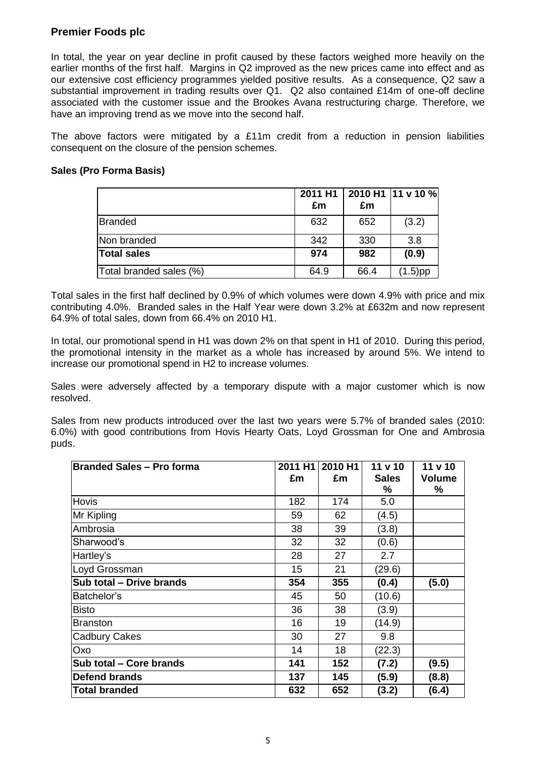In total, the year on year decline in profit caused by these factors weighed more heavily on the earlier months of the first half. Margins in Q2 improved as the new prices came into effect and as our extensive cost efficiency programmes yielded positive results. As a consequence, Q2 saw a substantial improvement in trading results over Q1. Q2 also contained £14m of one-off decline associated with the customer issue and the Brookes Avana restructuring charge. Therefore, we have an improving trend as we move into the second half.

The above factors were mitigated by a  $£11m$  credit from a reduction in pension liabilities consequent on the closure of the pension schemes.

## **Sales (Pro Forma Basis)**

|                         | 2011 H1<br>£m | £m   | 2010 H1 11 v 10 % |
|-------------------------|---------------|------|-------------------|
| <b>Branded</b>          | 632           | 652  | (3.2)             |
| Non branded             | 342           | 330  | 3.8               |
| <b>Total sales</b>      | 974           | 982  | (0.9)             |
| Total branded sales (%) | 64.9          | 66.4 | $(1.5)$ pp        |

Total sales in the first half declined by 0.9% of which volumes were down 4.9% with price and mix contributing 4.0%. Branded sales in the Half Year were down 3.2% at £632m and now represent 64.9% of total sales, down from 66.4% on 2010 H1.

In total, our promotional spend in H1 was down 2% on that spent in H1 of 2010. During this period, the promotional intensity in the market as a whole has increased by around 5%. We intend to increase our promotional spend in H2 to increase volumes.

Sales were adversely affected by a temporary dispute with a major customer which is now resolved.

Sales from new products introduced over the last two years were 5.7% of branded sales (2010: 6.0%) with good contributions from Hovis Hearty Oats, Loyd Grossman for One and Ambrosia puds.

| <b>Branded Sales - Pro forma</b> | 2011 H1<br>£m | 2010 H1<br>£m | 11 <sub>v</sub> 10<br><b>Sales</b><br>℅ | 11 <sub>v</sub> 10<br><b>Volume</b><br>% |
|----------------------------------|---------------|---------------|-----------------------------------------|------------------------------------------|
| <b>Hovis</b>                     | 182           | 174           | 5.0                                     |                                          |
| Mr Kipling                       | 59            | 62            | (4.5)                                   |                                          |
| Ambrosia                         | 38            | 39            | (3.8)                                   |                                          |
| Sharwood's                       | 32            | 32            | (0.6)                                   |                                          |
| Hartley's                        | 28            | 27            | 2.7                                     |                                          |
| Loyd Grossman                    | 15            | 21            | (29.6)                                  |                                          |
| Sub total - Drive brands         | 354           | 355           | (0.4)                                   | (5.0)                                    |
| Batchelor's                      | 45            | 50            | (10.6)                                  |                                          |
| <b>Bisto</b>                     | 36            | 38            | (3.9)                                   |                                          |
| Branston                         | 16            | 19            | (14.9)                                  |                                          |
| Cadbury Cakes                    | 30            | 27            | 9.8                                     |                                          |
| Oxo                              | 14            | 18            | (22.3)                                  |                                          |
| Sub total - Core brands          | 141           | 152           | (7.2)                                   | (9.5)                                    |
| Defend brands                    | 137           | 145           | (5.9)                                   | (8.8)                                    |
| Total branded                    | 632           | 652           | (3.2)                                   | (6.4)                                    |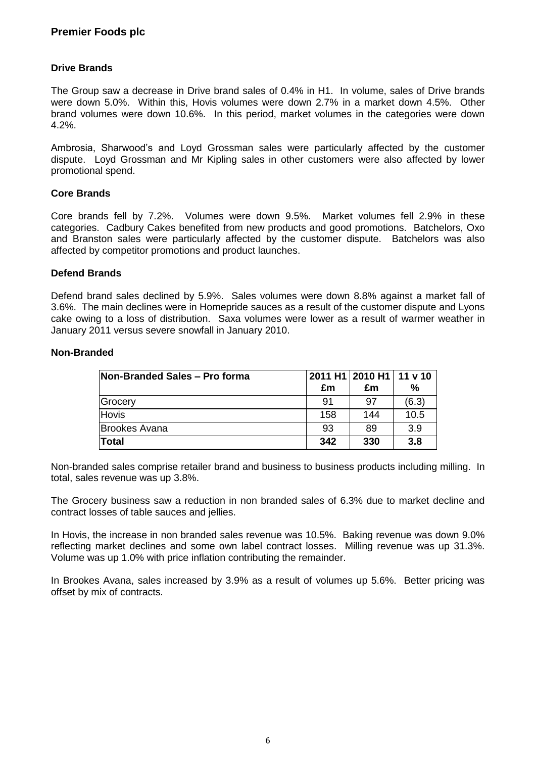## **Drive Brands**

The Group saw a decrease in Drive brand sales of 0.4% in H1. In volume, sales of Drive brands were down 5.0%. Within this, Hovis volumes were down 2.7% in a market down 4.5%. Other brand volumes were down 10.6%. In this period, market volumes in the categories were down 4.2%.

Ambrosia, Sharwood"s and Loyd Grossman sales were particularly affected by the customer dispute. Loyd Grossman and Mr Kipling sales in other customers were also affected by lower promotional spend.

## **Core Brands**

Core brands fell by 7.2%. Volumes were down 9.5%. Market volumes fell 2.9% in these categories. Cadbury Cakes benefited from new products and good promotions. Batchelors, Oxo and Branston sales were particularly affected by the customer dispute. Batchelors was also affected by competitor promotions and product launches.

## **Defend Brands**

Defend brand sales declined by 5.9%. Sales volumes were down 8.8% against a market fall of 3.6%. The main declines were in Homepride sauces as a result of the customer dispute and Lyons cake owing to a loss of distribution. Saxa volumes were lower as a result of warmer weather in January 2011 versus severe snowfall in January 2010.

### **Non-Branded**

| Non-Branded Sales - Pro forma |     | 2011 H1 2010 H1 11 v 10 |       |
|-------------------------------|-----|-------------------------|-------|
|                               | £m  | £m                      | ℅     |
| Grocery                       | 91  | 97                      | (6.3) |
| <b>Hovis</b>                  | 158 | 144                     | 10.5  |
| Brookes Avana                 | 93  | 89                      | 3.9   |
| Total                         | 342 | 330                     | 3.8   |

Non-branded sales comprise retailer brand and business to business products including milling. In total, sales revenue was up 3.8%.

The Grocery business saw a reduction in non branded sales of 6.3% due to market decline and contract losses of table sauces and jellies.

In Hovis, the increase in non branded sales revenue was 10.5%. Baking revenue was down 9.0% reflecting market declines and some own label contract losses. Milling revenue was up 31.3%. Volume was up 1.0% with price inflation contributing the remainder.

In Brookes Avana, sales increased by 3.9% as a result of volumes up 5.6%. Better pricing was offset by mix of contracts.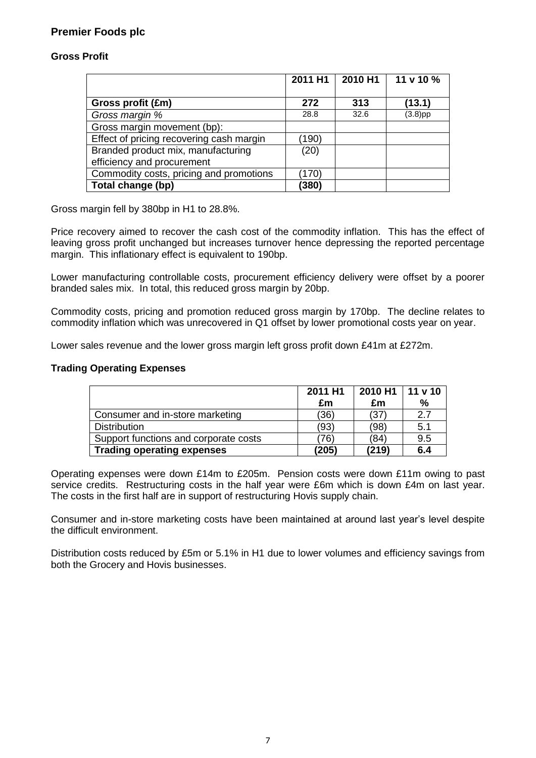## **Gross Profit**

|                                                                  | 2011 H1 | 2010 H1 | 11 v 10 %  |
|------------------------------------------------------------------|---------|---------|------------|
| Gross profit (£m)                                                | 272     | 313     | (13.1)     |
| Gross margin %                                                   | 28.8    | 32.6    | $(3.8)$ pp |
| Gross margin movement (bp):                                      |         |         |            |
| Effect of pricing recovering cash margin                         | (190)   |         |            |
| Branded product mix, manufacturing<br>efficiency and procurement | (20)    |         |            |
| Commodity costs, pricing and promotions                          | (170    |         |            |
| Total change (bp)                                                | (380)   |         |            |

Gross margin fell by 380bp in H1 to 28.8%.

Price recovery aimed to recover the cash cost of the commodity inflation. This has the effect of leaving gross profit unchanged but increases turnover hence depressing the reported percentage margin. This inflationary effect is equivalent to 190bp.

Lower manufacturing controllable costs, procurement efficiency delivery were offset by a poorer branded sales mix. In total, this reduced gross margin by 20bp.

Commodity costs, pricing and promotion reduced gross margin by 170bp. The decline relates to commodity inflation which was unrecovered in Q1 offset by lower promotional costs year on year.

Lower sales revenue and the lower gross margin left gross profit down £41m at £272m.

## **Trading Operating Expenses**

|                                       | 2011 H1 | 2010 H1 | 11 v 10 |
|---------------------------------------|---------|---------|---------|
|                                       | £m      | £m      | %       |
| Consumer and in-store marketing       | (36)    | (37     | 2.7     |
| <b>Distribution</b>                   | (93)    | (98)    | 5.1     |
| Support functions and corporate costs | 76)     | (84)    | 9.5     |
| <b>Trading operating expenses</b>     | (205)   | (219)   | 6.4     |

Operating expenses were down £14m to £205m. Pension costs were down £11m owing to past service credits. Restructuring costs in the half year were £6m which is down £4m on last year. The costs in the first half are in support of restructuring Hovis supply chain.

Consumer and in-store marketing costs have been maintained at around last year"s level despite the difficult environment.

Distribution costs reduced by £5m or 5.1% in H1 due to lower volumes and efficiency savings from both the Grocery and Hovis businesses.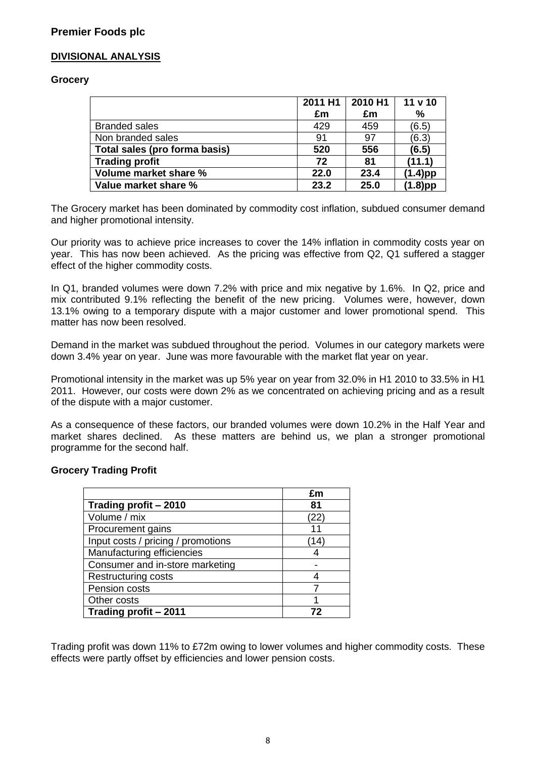## **DIVISIONAL ANALYSIS**

## **Grocery**

|                               | 2011 H1 | 2010 H1 | 11 <sub>v</sub> 10 |
|-------------------------------|---------|---------|--------------------|
|                               | £m      | £m      | %                  |
| <b>Branded sales</b>          | 429     | 459     | (6.5)              |
| Non branded sales             | 91      | 97      | (6.3)              |
| Total sales (pro forma basis) | 520     | 556     | (6.5)              |
| <b>Trading profit</b>         | 72      | 81      | (11.1)             |
| Volume market share %         | 22.0    | 23.4    | $(1.4)$ pp         |
| Value market share %          | 23.2    | 25.0    | (1.8)pp            |

The Grocery market has been dominated by commodity cost inflation, subdued consumer demand and higher promotional intensity.

Our priority was to achieve price increases to cover the 14% inflation in commodity costs year on year. This has now been achieved. As the pricing was effective from Q2, Q1 suffered a stagger effect of the higher commodity costs.

In Q1, branded volumes were down 7.2% with price and mix negative by 1.6%. In Q2, price and mix contributed 9.1% reflecting the benefit of the new pricing. Volumes were, however, down 13.1% owing to a temporary dispute with a major customer and lower promotional spend. This matter has now been resolved.

Demand in the market was subdued throughout the period. Volumes in our category markets were down 3.4% year on year. June was more favourable with the market flat year on year.

Promotional intensity in the market was up 5% year on year from 32.0% in H1 2010 to 33.5% in H1 2011. However, our costs were down 2% as we concentrated on achieving pricing and as a result of the dispute with a major customer.

As a consequence of these factors, our branded volumes were down 10.2% in the Half Year and market shares declined. As these matters are behind us, we plan a stronger promotional programme for the second half.

### **Grocery Trading Profit**

|                                    | £m |
|------------------------------------|----|
| Trading profit - 2010              | 81 |
| Volume / mix                       | 22 |
| Procurement gains                  |    |
| Input costs / pricing / promotions | 14 |
| Manufacturing efficiencies         |    |
| Consumer and in-store marketing    |    |
| Restructuring costs                |    |
| Pension costs                      |    |
| Other costs                        |    |
| Trading profit - 2011              | 72 |

Trading profit was down 11% to £72m owing to lower volumes and higher commodity costs. These effects were partly offset by efficiencies and lower pension costs.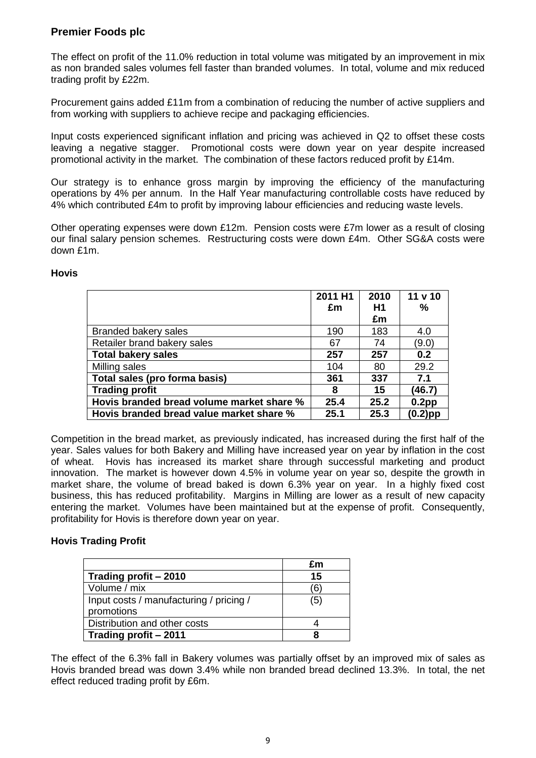The effect on profit of the 11.0% reduction in total volume was mitigated by an improvement in mix as non branded sales volumes fell faster than branded volumes. In total, volume and mix reduced trading profit by £22m.

Procurement gains added £11m from a combination of reducing the number of active suppliers and from working with suppliers to achieve recipe and packaging efficiencies.

Input costs experienced significant inflation and pricing was achieved in Q2 to offset these costs leaving a negative stagger. Promotional costs were down year on year despite increased promotional activity in the market. The combination of these factors reduced profit by £14m.

Our strategy is to enhance gross margin by improving the efficiency of the manufacturing operations by 4% per annum. In the Half Year manufacturing controllable costs have reduced by 4% which contributed £4m to profit by improving labour efficiencies and reducing waste levels.

Other operating expenses were down £12m. Pension costs were £7m lower as a result of closing our final salary pension schemes. Restructuring costs were down £4m. Other SG&A costs were down £1m.

|                                           | 2011 H1<br>£m | 2010<br>H1 | 11 <sub>v</sub> 10<br>$\frac{9}{6}$ |
|-------------------------------------------|---------------|------------|-------------------------------------|
|                                           |               | £m         |                                     |
| Branded bakery sales                      | 190           | 183        | 4.0                                 |
| Retailer brand bakery sales               | 67            | 74         | (9.0)                               |
| <b>Total bakery sales</b>                 | 257           | 257        | 0.2                                 |
| Milling sales                             | 104           | 80         | 29.2                                |
| Total sales (pro forma basis)             | 361           | 337        | 7.1                                 |
| <b>Trading profit</b>                     | 8             | 15         | (46.7)                              |
| Hovis branded bread volume market share % | 25.4          | 25.2       | 0.2 <sub>pp</sub>                   |
| Hovis branded bread value market share %  | 25.1          | 25.3       | $(0.2)$ pp                          |

## **Hovis**

Competition in the bread market, as previously indicated, has increased during the first half of the year. Sales values for both Bakery and Milling have increased year on year by inflation in the cost of wheat. Hovis has increased its market share through successful marketing and product innovation. The market is however down 4.5% in volume year on year so, despite the growth in market share, the volume of bread baked is down 6.3% year on year. In a highly fixed cost business, this has reduced profitability. Margins in Milling are lower as a result of new capacity entering the market. Volumes have been maintained but at the expense of profit. Consequently, profitability for Hovis is therefore down year on year.

## **Hovis Trading Profit**

|                                         | £m  |
|-----------------------------------------|-----|
| Trading profit - 2010                   | 15  |
| Volume / mix                            | 6   |
| Input costs / manufacturing / pricing / | (5) |
| promotions                              |     |
| Distribution and other costs            |     |
| Trading profit - 2011                   |     |

The effect of the 6.3% fall in Bakery volumes was partially offset by an improved mix of sales as Hovis branded bread was down 3.4% while non branded bread declined 13.3%. In total, the net effect reduced trading profit by £6m.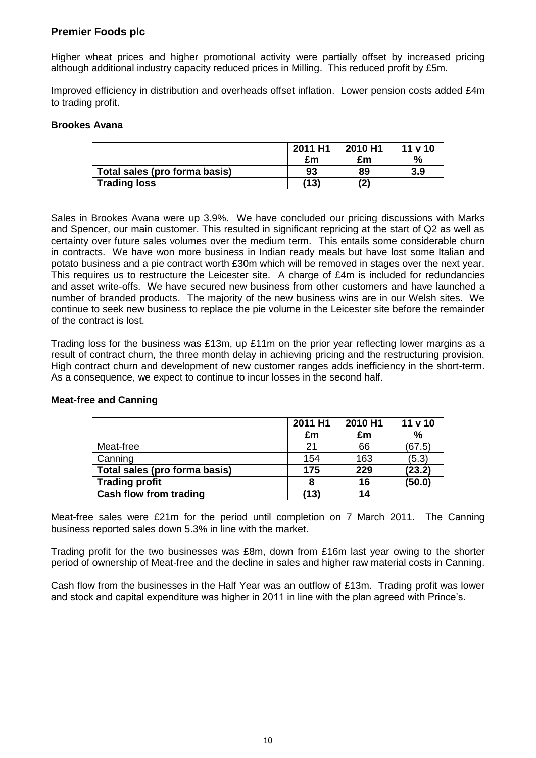Higher wheat prices and higher promotional activity were partially offset by increased pricing although additional industry capacity reduced prices in Milling. This reduced profit by £5m.

Improved efficiency in distribution and overheads offset inflation. Lower pension costs added £4m to trading profit.

## **Brookes Avana**

|                               | 2011 H1 | 2010 H1 | 11 v 10 |
|-------------------------------|---------|---------|---------|
|                               | £m      | £m      | %       |
| Total sales (pro forma basis) | 93      | 89      | 3.9     |
| <b>Trading loss</b>           | (13)    | (2)     |         |

Sales in Brookes Avana were up 3.9%. We have concluded our pricing discussions with Marks and Spencer, our main customer. This resulted in significant repricing at the start of Q2 as well as certainty over future sales volumes over the medium term. This entails some considerable churn in contracts. We have won more business in Indian ready meals but have lost some Italian and potato business and a pie contract worth £30m which will be removed in stages over the next year. This requires us to restructure the Leicester site. A charge of £4m is included for redundancies and asset write-offs. We have secured new business from other customers and have launched a number of branded products. The majority of the new business wins are in our Welsh sites. We continue to seek new business to replace the pie volume in the Leicester site before the remainder of the contract is lost.

Trading loss for the business was £13m, up £11m on the prior year reflecting lower margins as a result of contract churn, the three month delay in achieving pricing and the restructuring provision. High contract churn and development of new customer ranges adds inefficiency in the short-term. As a consequence, we expect to continue to incur losses in the second half.

|                               | 2011 H1 | 2010 H1 | 11 <sub>v</sub> 10 |
|-------------------------------|---------|---------|--------------------|
|                               | £m      | £m      | %                  |
| Meat-free                     | 21      | 66      | (67.5)             |
| Canning                       | 154     | 163     | (5.3)              |
| Total sales (pro forma basis) | 175     | 229     | (23.2)             |
| <b>Trading profit</b>         | 8       | 16      | (50.0)             |
| Cash flow from trading        | (13)    | 14      |                    |

## **Meat-free and Canning**

Meat-free sales were £21m for the period until completion on 7 March 2011. The Canning business reported sales down 5.3% in line with the market.

Trading profit for the two businesses was £8m, down from £16m last year owing to the shorter period of ownership of Meat-free and the decline in sales and higher raw material costs in Canning.

Cash flow from the businesses in the Half Year was an outflow of £13m. Trading profit was lower and stock and capital expenditure was higher in 2011 in line with the plan agreed with Prince"s.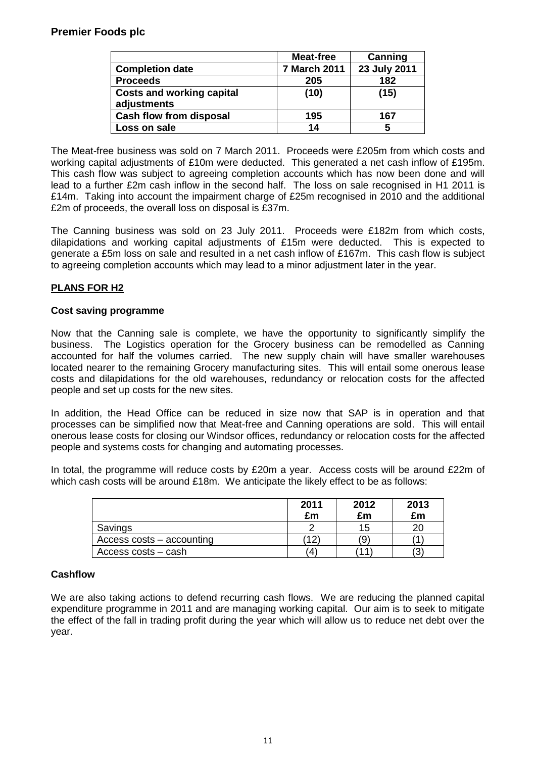|                                  | <b>Meat-free</b> | Canning      |
|----------------------------------|------------------|--------------|
| <b>Completion date</b>           | 7 March 2011     | 23 July 2011 |
| <b>Proceeds</b>                  | 205              | 182          |
| <b>Costs and working capital</b> | (10)             | (15)         |
| adjustments                      |                  |              |
| Cash flow from disposal          | 195              | 167          |
| Loss on sale                     | 14               | 5            |

The Meat-free business was sold on 7 March 2011. Proceeds were £205m from which costs and working capital adjustments of £10m were deducted. This generated a net cash inflow of £195m. This cash flow was subject to agreeing completion accounts which has now been done and will lead to a further £2m cash inflow in the second half. The loss on sale recognised in H1 2011 is £14m. Taking into account the impairment charge of £25m recognised in 2010 and the additional £2m of proceeds, the overall loss on disposal is £37m.

The Canning business was sold on 23 July 2011. Proceeds were £182m from which costs, dilapidations and working capital adjustments of £15m were deducted. This is expected to generate a £5m loss on sale and resulted in a net cash inflow of £167m. This cash flow is subject to agreeing completion accounts which may lead to a minor adjustment later in the year.

## **PLANS FOR H2**

## **Cost saving programme**

Now that the Canning sale is complete, we have the opportunity to significantly simplify the business. The Logistics operation for the Grocery business can be remodelled as Canning accounted for half the volumes carried. The new supply chain will have smaller warehouses located nearer to the remaining Grocery manufacturing sites. This will entail some onerous lease costs and dilapidations for the old warehouses, redundancy or relocation costs for the affected people and set up costs for the new sites.

In addition, the Head Office can be reduced in size now that SAP is in operation and that processes can be simplified now that Meat-free and Canning operations are sold. This will entail onerous lease costs for closing our Windsor offices, redundancy or relocation costs for the affected people and systems costs for changing and automating processes.

In total, the programme will reduce costs by £20m a year. Access costs will be around £22m of which cash costs will be around £18m. We anticipate the likely effect to be as follows:

|                           | 2011<br>£m | 2012<br>£m | 2013<br>£m |
|---------------------------|------------|------------|------------|
| Savings                   |            | 15         |            |
| Access costs – accounting | 12         | '9.        |            |
| Access costs – cash       | ΄4         |            | J.         |

## **Cashflow**

We are also taking actions to defend recurring cash flows. We are reducing the planned capital expenditure programme in 2011 and are managing working capital. Our aim is to seek to mitigate the effect of the fall in trading profit during the year which will allow us to reduce net debt over the year.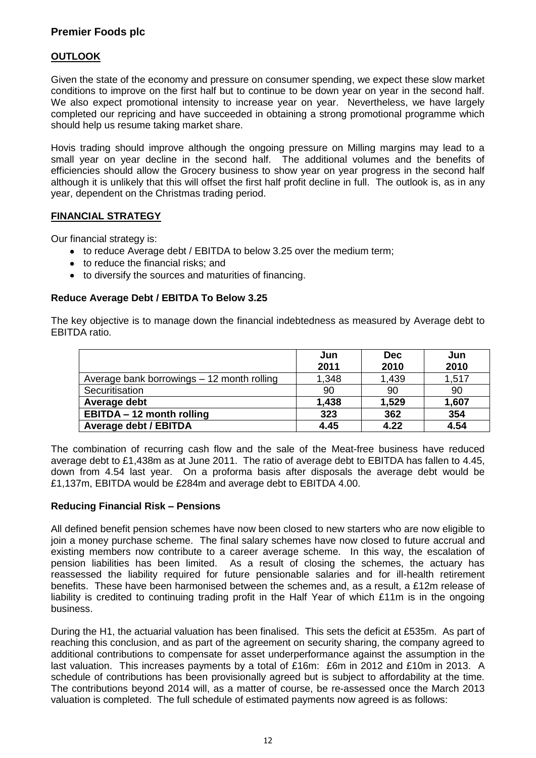## **OUTLOOK**

Given the state of the economy and pressure on consumer spending, we expect these slow market conditions to improve on the first half but to continue to be down year on year in the second half. We also expect promotional intensity to increase year on year. Nevertheless, we have largely completed our repricing and have succeeded in obtaining a strong promotional programme which should help us resume taking market share.

Hovis trading should improve although the ongoing pressure on Milling margins may lead to a small year on year decline in the second half. The additional volumes and the benefits of efficiencies should allow the Grocery business to show year on year progress in the second half although it is unlikely that this will offset the first half profit decline in full. The outlook is, as in any year, dependent on the Christmas trading period.

## **FINANCIAL STRATEGY**

Our financial strategy is:

- to reduce Average debt / EBITDA to below 3.25 over the medium term;
- to reduce the financial risks: and
- to diversify the sources and maturities of financing.

## **Reduce Average Debt / EBITDA To Below 3.25**

The key objective is to manage down the financial indebtedness as measured by Average debt to EBITDA ratio.

|                                            | Jun<br>2011 | <b>Dec</b><br>2010 | Jun<br>2010 |
|--------------------------------------------|-------------|--------------------|-------------|
| Average bank borrowings - 12 month rolling | 1,348       | 1,439              | 1,517       |
| Securitisation                             | 90          | 90                 | 90          |
| Average debt                               | 1,438       | 1,529              | 1,607       |
| <b>EBITDA - 12 month rolling</b>           | 323         | 362                | 354         |
| <b>Average debt / EBITDA</b>               | 4.45        | 4.22               | 4.54        |

The combination of recurring cash flow and the sale of the Meat-free business have reduced average debt to £1,438m as at June 2011. The ratio of average debt to EBITDA has fallen to 4.45, down from 4.54 last year. On a proforma basis after disposals the average debt would be £1,137m, EBITDA would be £284m and average debt to EBITDA 4.00.

## **Reducing Financial Risk – Pensions**

All defined benefit pension schemes have now been closed to new starters who are now eligible to join a money purchase scheme. The final salary schemes have now closed to future accrual and existing members now contribute to a career average scheme. In this way, the escalation of pension liabilities has been limited. As a result of closing the schemes, the actuary has reassessed the liability required for future pensionable salaries and for ill-health retirement benefits. These have been harmonised between the schemes and, as a result, a £12m release of liability is credited to continuing trading profit in the Half Year of which £11m is in the ongoing business.

During the H1, the actuarial valuation has been finalised. This sets the deficit at £535m. As part of reaching this conclusion, and as part of the agreement on security sharing, the company agreed to additional contributions to compensate for asset underperformance against the assumption in the last valuation. This increases payments by a total of £16m: £6m in 2012 and £10m in 2013. A schedule of contributions has been provisionally agreed but is subject to affordability at the time. The contributions beyond 2014 will, as a matter of course, be re-assessed once the March 2013 valuation is completed. The full schedule of estimated payments now agreed is as follows: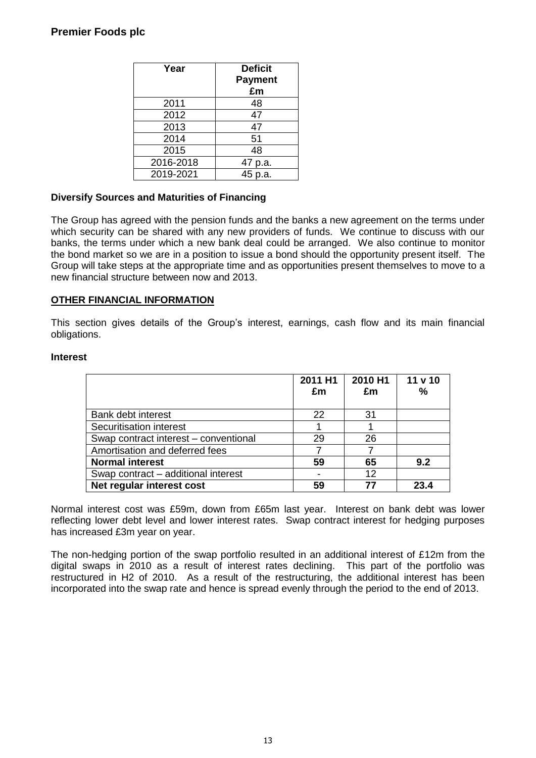| Year      | <b>Deficit</b><br><b>Payment</b><br>£m |
|-----------|----------------------------------------|
| 2011      | 48                                     |
| 2012      | 47                                     |
| 2013      | 47                                     |
| 2014      | 51                                     |
| 2015      | 48                                     |
| 2016-2018 | 47 p.a.                                |
| 2019-2021 | p.a.<br>45                             |

## **Diversify Sources and Maturities of Financing**

The Group has agreed with the pension funds and the banks a new agreement on the terms under which security can be shared with any new providers of funds. We continue to discuss with our banks, the terms under which a new bank deal could be arranged. We also continue to monitor the bond market so we are in a position to issue a bond should the opportunity present itself. The Group will take steps at the appropriate time and as opportunities present themselves to move to a new financial structure between now and 2013.

## **OTHER FINANCIAL INFORMATION**

This section gives details of the Group"s interest, earnings, cash flow and its main financial obligations.

## **Interest**

|                                       | 2011 H1<br>£m | 2010 H1<br>£m | 11 <sub>v</sub> 10<br>% |
|---------------------------------------|---------------|---------------|-------------------------|
| Bank debt interest                    | 22            | 31            |                         |
| Securitisation interest               |               |               |                         |
| Swap contract interest - conventional | 29            | 26            |                         |
| Amortisation and deferred fees        |               |               |                         |
| <b>Normal interest</b>                | 59            | 65            | 9.2                     |
| Swap contract - additional interest   |               | 12            |                         |
| Net regular interest cost             | 59            | 77            | 23.4                    |

Normal interest cost was £59m, down from £65m last year. Interest on bank debt was lower reflecting lower debt level and lower interest rates. Swap contract interest for hedging purposes has increased £3m year on year.

The non-hedging portion of the swap portfolio resulted in an additional interest of £12m from the digital swaps in 2010 as a result of interest rates declining. This part of the portfolio was restructured in H2 of 2010. As a result of the restructuring, the additional interest has been incorporated into the swap rate and hence is spread evenly through the period to the end of 2013.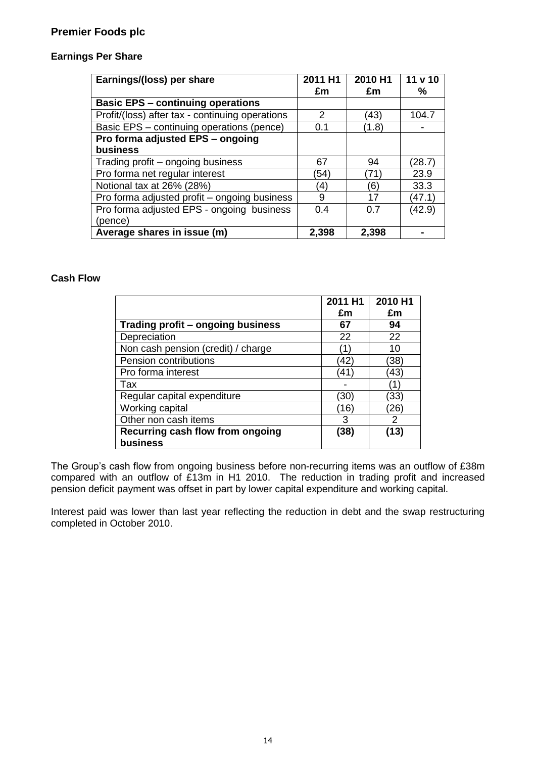## **Earnings Per Share**

| Earnings/(loss) per share                       | 2011 H1              | 2010 H1 | 11 v 10 |
|-------------------------------------------------|----------------------|---------|---------|
|                                                 | £m                   | £m      | ℅       |
| <b>Basic EPS - continuing operations</b>        |                      |         |         |
| Profit/(loss) after tax - continuing operations | $\mathcal{P}$        | (43)    | 104.7   |
| Basic EPS - continuing operations (pence)       | 0.1                  | (1.8)   |         |
| Pro forma adjusted EPS - ongoing                |                      |         |         |
| business                                        |                      |         |         |
| Trading profit - ongoing business               | 67                   | 94      | (28.7)  |
| Pro forma net regular interest                  | $\langle 54 \rangle$ | (71)    | 23.9    |
| Notional tax at 26% (28%)                       | (4)                  | (6)     | 33.3    |
| Pro forma adjusted profit - ongoing business    | 9                    | 17      | (47.1)  |
| Pro forma adjusted EPS - ongoing business       | 0.4                  | 0.7     | (42.9)  |
| (pence)                                         |                      |         |         |
| Average shares in issue (m)                     | 2,398                | 2,398   |         |

## **Cash Flow**

|                                    | 2011 H1  | 2010 H1        |
|------------------------------------|----------|----------------|
| Trading profit - ongoing business  | £m<br>67 | £m<br>94       |
| Depreciation                       | 22       | 22             |
| Non cash pension (credit) / charge | 1        | 10             |
| Pension contributions              | 42       | $^{\prime}38)$ |
| Pro forma interest                 | 41       | '43)           |
| Tax                                |          |                |
| Regular capital expenditure        | 30'      | 33'            |
| Working capital                    | 16       | 26             |
| Other non cash items               | 3        | 2              |
| Recurring cash flow from ongoing   | (38)     | (13)           |
| business                           |          |                |

The Group's cash flow from ongoing business before non-recurring items was an outflow of £38m compared with an outflow of £13m in H1 2010. The reduction in trading profit and increased pension deficit payment was offset in part by lower capital expenditure and working capital.

Interest paid was lower than last year reflecting the reduction in debt and the swap restructuring completed in October 2010.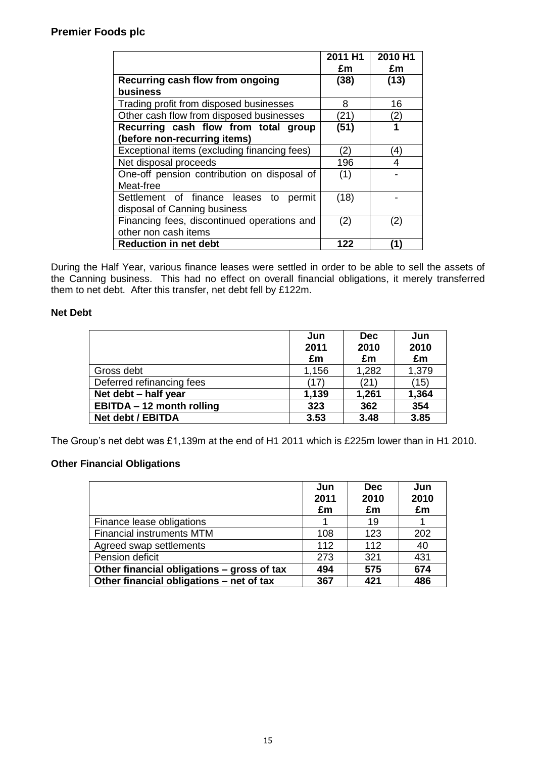|                                                                        | 2011 H1<br>£m | 2010 H1<br>£m |
|------------------------------------------------------------------------|---------------|---------------|
| Recurring cash flow from ongoing<br>business                           | (38)          | (13)          |
| Trading profit from disposed businesses                                | 8             | 16            |
| Other cash flow from disposed businesses                               | 21)           | (2)           |
| Recurring cash flow from total group                                   | (51)          | 1             |
| (before non-recurring items)                                           |               |               |
| Exceptional items (excluding financing fees)                           | (2)           | (4)           |
| Net disposal proceeds                                                  | 196           | 4             |
| One-off pension contribution on disposal of<br>Meat-free               | (1)           |               |
| Settlement of finance leases to permit<br>disposal of Canning business | (18)          |               |
| Financing fees, discontinued operations and<br>other non cash items    | (2)           | (2)           |
| <b>Reduction in net debt</b>                                           | 122           | 41            |

During the Half Year, various finance leases were settled in order to be able to sell the assets of the Canning business. This had no effect on overall financial obligations, it merely transferred them to net debt. After this transfer, net debt fell by £122m.

## **Net Debt**

|                           | Jun<br>2011<br>£m | <b>Dec</b><br>2010<br>£m | Jun<br>2010<br>£m |
|---------------------------|-------------------|--------------------------|-------------------|
| Gross debt                | 1,156             | 1,282                    | 1,379             |
| Deferred refinancing fees | (17)              | (21)                     | (15)              |
| Net debt - half year      | 1,139             | 1,261                    | 1,364             |
| EBITDA - 12 month rolling | 323               | 362                      | 354               |
| Net debt / EBITDA         | 3.53              | 3.48                     | 3.85              |

The Group's net debt was £1,139m at the end of H1 2011 which is £225m lower than in H1 2010.

## **Other Financial Obligations**

|                                            | Jun<br>2011<br>£m | <b>Dec</b><br>2010<br>£m | Jun<br>2010<br>£m |
|--------------------------------------------|-------------------|--------------------------|-------------------|
| Finance lease obligations                  |                   | 19                       |                   |
| <b>Financial instruments MTM</b>           | 108               | 123                      | 202               |
| Agreed swap settlements                    | 112               | 112                      | 40                |
| Pension deficit                            | 273               | 321                      | 431               |
| Other financial obligations - gross of tax | 494               | 575                      | 674               |
| Other financial obligations - net of tax   | 367               | 421                      | 486               |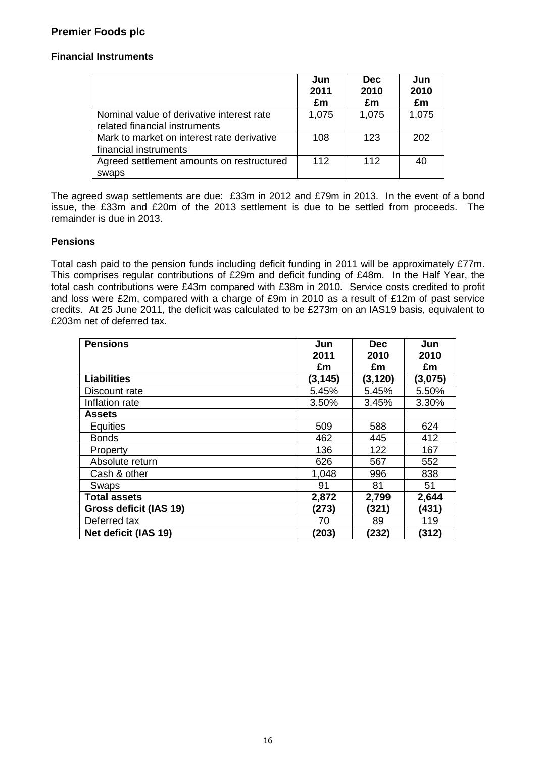## **Financial Instruments**

|                                                                            | Jun<br>2011<br>£m | <b>Dec</b><br>2010<br>£m | Jun<br>2010<br>£m |
|----------------------------------------------------------------------------|-------------------|--------------------------|-------------------|
| Nominal value of derivative interest rate<br>related financial instruments | 1,075             | 1.075                    | 1,075             |
| Mark to market on interest rate derivative<br>financial instruments        | 108               | 123                      | 202               |
| Agreed settlement amounts on restructured<br>swaps                         | 112               | 112                      | 40                |

The agreed swap settlements are due: £33m in 2012 and £79m in 2013. In the event of a bond issue, the £33m and £20m of the 2013 settlement is due to be settled from proceeds. The remainder is due in 2013.

## **Pensions**

Total cash paid to the pension funds including deficit funding in 2011 will be approximately £77m. This comprises regular contributions of £29m and deficit funding of £48m. In the Half Year, the total cash contributions were £43m compared with £38m in 2010. Service costs credited to profit and loss were £2m, compared with a charge of £9m in 2010 as a result of £12m of past service credits. At 25 June 2011, the deficit was calculated to be £273m on an IAS19 basis, equivalent to £203m net of deferred tax.

| <b>Pensions</b>        | Jun<br>2011 | <b>Dec</b><br>2010 | Jun<br>2010 |
|------------------------|-------------|--------------------|-------------|
|                        | £m          | £m                 | £m          |
| <b>Liabilities</b>     | (3, 145)    | (3, 120)           | (3,075)     |
| Discount rate          | 5.45%       | 5.45%              | 5.50%       |
| Inflation rate         | 3.50%       | 3.45%              | 3.30%       |
| <b>Assets</b>          |             |                    |             |
| <b>Equities</b>        | 509         | 588                | 624         |
| <b>Bonds</b>           | 462         | 445                | 412         |
| Property               | 136         | 122                | 167         |
| Absolute return        | 626         | 567                | 552         |
| Cash & other           | 1,048       | 996                | 838         |
| Swaps                  | 91          | 81                 | 51          |
| <b>Total assets</b>    | 2,872       | 2,799              | 2,644       |
| Gross deficit (IAS 19) | (273)       | (321)              | (431)       |
| Deferred tax           | 70          | 89                 | 119         |
| Net deficit (IAS 19)   | (203)       | (232)              | (312)       |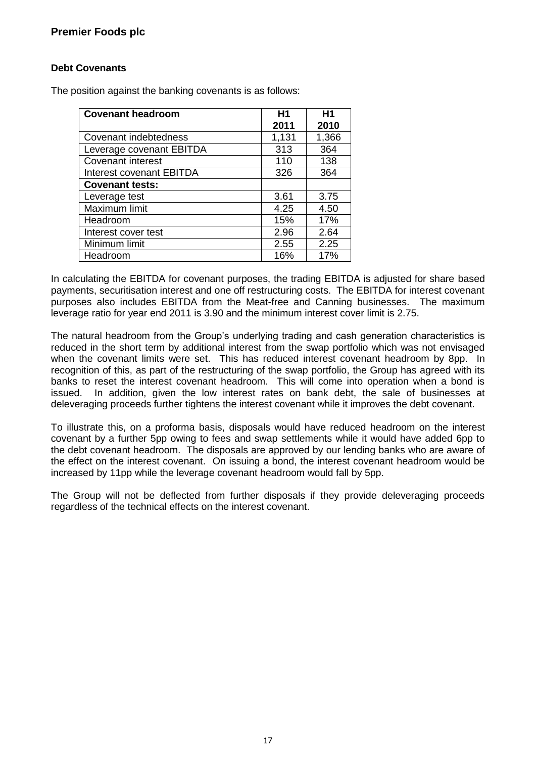## **Debt Covenants**

The position against the banking covenants is as follows:

| <b>Covenant headroom</b>        | H <sub>1</sub> | H <sub>1</sub> |
|---------------------------------|----------------|----------------|
|                                 | 2011           | 2010           |
| Covenant indebtedness           | 1,131          | 1,366          |
| Leverage covenant EBITDA        | 313            | 364            |
| <b>Covenant interest</b>        | 110            | 138            |
| <b>Interest covenant EBITDA</b> | 326            | 364            |
| <b>Covenant tests:</b>          |                |                |
| Leverage test                   | 3.61           | 3.75           |
| Maximum limit                   | 4.25           | 4.50           |
| Headroom                        | 15%            | 17%            |
| Interest cover test             | 2.96           | 2.64           |
| Minimum limit                   | 2.55           | 2.25           |
| Headroom                        | 16%            | 17%            |

In calculating the EBITDA for covenant purposes, the trading EBITDA is adjusted for share based payments, securitisation interest and one off restructuring costs. The EBITDA for interest covenant purposes also includes EBITDA from the Meat-free and Canning businesses. The maximum leverage ratio for year end 2011 is 3.90 and the minimum interest cover limit is 2.75.

The natural headroom from the Group"s underlying trading and cash generation characteristics is reduced in the short term by additional interest from the swap portfolio which was not envisaged when the covenant limits were set. This has reduced interest covenant headroom by 8pp. In recognition of this, as part of the restructuring of the swap portfolio, the Group has agreed with its banks to reset the interest covenant headroom. This will come into operation when a bond is issued. In addition, given the low interest rates on bank debt, the sale of businesses at deleveraging proceeds further tightens the interest covenant while it improves the debt covenant.

To illustrate this, on a proforma basis, disposals would have reduced headroom on the interest covenant by a further 5pp owing to fees and swap settlements while it would have added 6pp to the debt covenant headroom. The disposals are approved by our lending banks who are aware of the effect on the interest covenant. On issuing a bond, the interest covenant headroom would be increased by 11pp while the leverage covenant headroom would fall by 5pp.

The Group will not be deflected from further disposals if they provide deleveraging proceeds regardless of the technical effects on the interest covenant.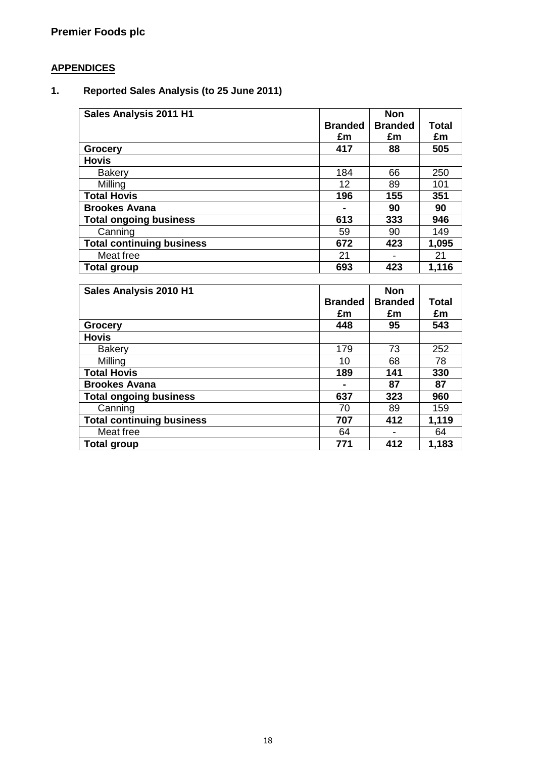# **APPENDICES**

# **1. Reported Sales Analysis (to 25 June 2011)**

| Sales Analysis 2011 H1           |                | <b>Non</b>     |              |
|----------------------------------|----------------|----------------|--------------|
|                                  | <b>Branded</b> | <b>Branded</b> | <b>Total</b> |
|                                  | £m             | £m             | £m           |
| <b>Grocery</b>                   | 417            | 88             | 505          |
| <b>Hovis</b>                     |                |                |              |
| <b>Bakery</b>                    | 184            | 66             | 250          |
| Milling                          | 12             | 89             | 101          |
| <b>Total Hovis</b>               | 196            | 155            | 351          |
| <b>Brookes Avana</b>             |                | 90             | 90           |
| <b>Total ongoing business</b>    | 613            | 333            | 946          |
| Canning                          | 59             | 90             | 149          |
| <b>Total continuing business</b> | 672            | 423            | 1,095        |
| Meat free                        | 21             |                | 21           |
| <b>Total group</b>               | 693            | 423            | 1,116        |

| Sales Analysis 2010 H1           |                | <b>Non</b>     |       |
|----------------------------------|----------------|----------------|-------|
|                                  | <b>Branded</b> | <b>Branded</b> | Total |
|                                  | £m             | £m             | £m    |
| <b>Grocery</b>                   | 448            | 95             | 543   |
| <b>Hovis</b>                     |                |                |       |
| <b>Bakery</b>                    | 179            | 73             | 252   |
| Milling                          | 10             | 68             | 78    |
| <b>Total Hovis</b>               | 189            | 141            | 330   |
| <b>Brookes Avana</b>             |                | 87             | 87    |
| <b>Total ongoing business</b>    | 637            | 323            | 960   |
| Canning                          | 70             | 89             | 159   |
| <b>Total continuing business</b> | 707            | 412            | 1,119 |
| Meat free                        | 64             |                | 64    |
| <b>Total group</b>               | 771            | 412            | 1,183 |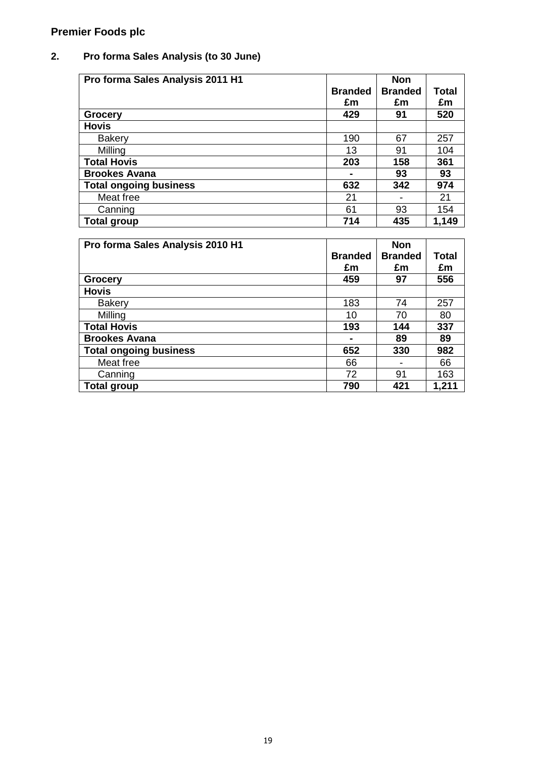# **2. Pro forma Sales Analysis (to 30 June)**

| Pro forma Sales Analysis 2011 H1 |                | <b>Non</b>     |       |
|----------------------------------|----------------|----------------|-------|
|                                  | <b>Branded</b> | <b>Branded</b> | Total |
|                                  | £m             | £m             | £m    |
| <b>Grocery</b>                   | 429            | 91             | 520   |
| <b>Hovis</b>                     |                |                |       |
| Bakery                           | 190            | 67             | 257   |
| Milling                          | 13             | 91             | 104   |
| <b>Total Hovis</b>               | 203            | 158            | 361   |
| <b>Brookes Avana</b>             |                | 93             | 93    |
| <b>Total ongoing business</b>    | 632            | 342            | 974   |
| Meat free                        | 21             | -              | 21    |
| Canning                          | 61             | 93             | 154   |
| <b>Total group</b>               | 714            | 435            | 1,149 |

| Pro forma Sales Analysis 2010 H1 |                | <b>Non</b>     |       |
|----------------------------------|----------------|----------------|-------|
|                                  | <b>Branded</b> | <b>Branded</b> | Total |
|                                  | £m             | £m             | £m    |
| Grocery                          | 459            | 97             | 556   |
| <b>Hovis</b>                     |                |                |       |
| <b>Bakery</b>                    | 183            | 74             | 257   |
| Milling                          | 10             | 70             | 80    |
| <b>Total Hovis</b>               | 193            | 144            | 337   |
| <b>Brookes Avana</b>             |                | 89             | 89    |
| <b>Total ongoing business</b>    | 652            | 330            | 982   |
| Meat free                        | 66             |                | 66    |
| Canning                          | 72             | 91             | 163   |
| <b>Total group</b>               | 790            | 421            | 1,211 |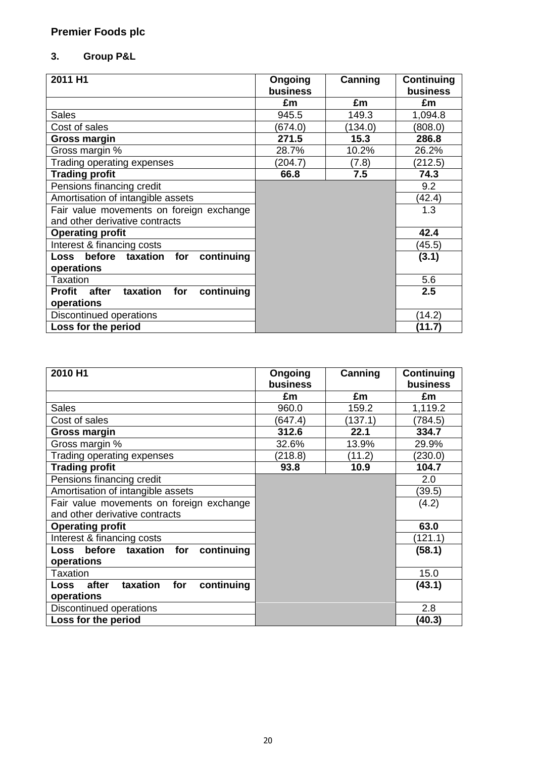# **3. Group P&L**

| 2011 H1                                                 | Ongoing<br>business | Canning | Continuing<br>business |
|---------------------------------------------------------|---------------------|---------|------------------------|
|                                                         | £m                  | £m      | £m                     |
| <b>Sales</b>                                            | 945.5               | 149.3   | 1,094.8                |
| Cost of sales                                           | (674.0)             | (134.0) | (808.0)                |
| Gross margin                                            | 271.5               | 15.3    | 286.8                  |
| Gross margin %                                          | 28.7%               | 10.2%   | 26.2%                  |
| Trading operating expenses                              | (204.7)             | (7.8)   | (212.5)                |
| <b>Trading profit</b>                                   | 66.8                | 7.5     | 74.3                   |
| Pensions financing credit                               |                     |         | 9.2                    |
| Amortisation of intangible assets                       |                     |         | (42.4)                 |
| Fair value movements on foreign exchange                |                     |         | 1.3                    |
| and other derivative contracts                          |                     |         |                        |
| <b>Operating profit</b>                                 |                     |         | 42.4                   |
| Interest & financing costs                              |                     |         | (45.5)                 |
| continuing<br>Loss before taxation for                  |                     |         | (3.1)                  |
| operations                                              |                     |         |                        |
| <b>Taxation</b>                                         |                     |         | 5.6                    |
| continuing<br><b>Profit</b><br>after<br>taxation<br>for |                     |         | 2.5                    |
| operations                                              |                     |         |                        |
| Discontinued operations                                 |                     |         | (14.2)                 |
| Loss for the period                                     |                     |         | (11.7)                 |

| 2010 H1                                        | Ongoing<br>business | Canning | Continuing<br>business |
|------------------------------------------------|---------------------|---------|------------------------|
|                                                | £m                  | £m      | £m                     |
| <b>Sales</b>                                   | 960.0               | 159.2   | 1,119.2                |
| Cost of sales                                  | (647.4)             | (137.1) | (784.5)                |
| <b>Gross margin</b>                            | 312.6               | 22.1    | 334.7                  |
| Gross margin %                                 | 32.6%               | 13.9%   | 29.9%                  |
| Trading operating expenses                     | (218.8)             | (11.2)  | (230.0)                |
| <b>Trading profit</b>                          | 93.8                | 10.9    | 104.7                  |
| Pensions financing credit                      |                     |         | 2.0                    |
| Amortisation of intangible assets              |                     |         | (39.5)                 |
| Fair value movements on foreign exchange       |                     |         | (4.2)                  |
| and other derivative contracts                 |                     |         |                        |
| <b>Operating profit</b>                        |                     |         | 63.0                   |
| Interest & financing costs                     |                     |         | (121.1)                |
| continuing<br>before taxation for<br>Loss      |                     |         | (58.1)                 |
| operations                                     |                     |         |                        |
| Taxation                                       |                     |         | 15.0                   |
| continuing<br>after<br>taxation<br>for<br>Loss |                     |         | (43.1)                 |
| operations                                     |                     |         |                        |
| Discontinued operations                        |                     |         | 2.8                    |
| Loss for the period                            |                     |         | (40.3)                 |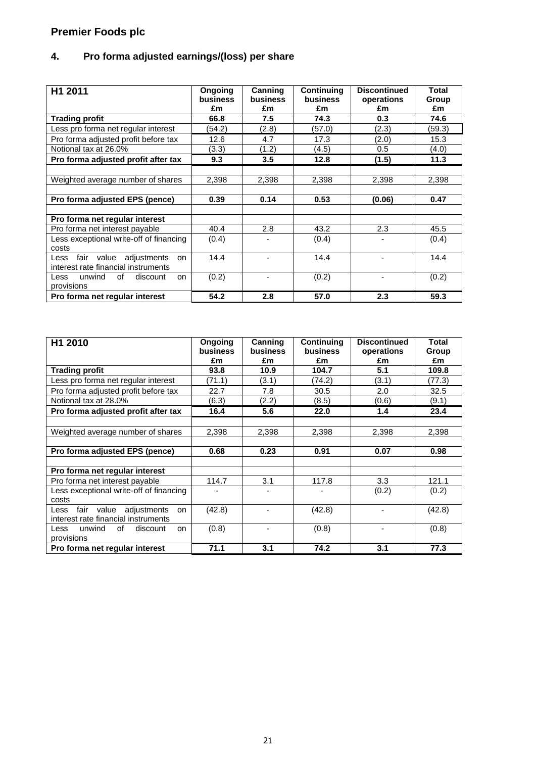# **4. Pro forma adjusted earnings/(loss) per share**

| H1 2011                                           | Ongoing<br>business<br>£m | Canning<br>business<br>£m | <b>Continuing</b><br><b>business</b><br>£m | <b>Discontinued</b><br>operations<br>£m | <b>Total</b><br>Group<br>£m |
|---------------------------------------------------|---------------------------|---------------------------|--------------------------------------------|-----------------------------------------|-----------------------------|
| <b>Trading profit</b>                             | 66.8                      | 7.5                       | 74.3                                       | 0.3                                     | 74.6                        |
| Less pro forma net regular interest               | (54.2)                    | (2.8)                     | (57.0)                                     | (2.3)                                   | (59.3)                      |
| Pro forma adjusted profit before tax              | 12.6                      | 4.7                       | 17.3                                       | (2.0)                                   | 15.3                        |
| Notional tax at 26.0%                             | (3.3)                     | (1.2)                     | (4.5)                                      | 0.5                                     | (4.0)                       |
| Pro forma adjusted profit after tax               | 9.3                       | 3.5                       | 12.8                                       | (1.5)                                   | 11.3                        |
|                                                   |                           |                           |                                            |                                         |                             |
| Weighted average number of shares                 | 2,398                     | 2,398                     | 2,398                                      | 2,398                                   | 2,398                       |
|                                                   |                           |                           |                                            |                                         |                             |
| Pro forma adjusted EPS (pence)                    | 0.39                      | 0.14                      | 0.53                                       | (0.06)                                  | 0.47                        |
|                                                   |                           |                           |                                            |                                         |                             |
| Pro forma net regular interest                    |                           |                           |                                            |                                         |                             |
| Pro forma net interest payable                    | 40.4                      | 2.8                       | 43.2                                       | 2.3                                     | 45.5                        |
| Less exceptional write-off of financing           | (0.4)                     |                           | (0.4)                                      |                                         | (0.4)                       |
| costs                                             |                           |                           |                                            |                                         |                             |
| value<br>adjustments<br>fair<br>Less<br><b>on</b> | 14.4                      |                           | 14.4                                       |                                         | 14.4                        |
| interest rate financial instruments               |                           |                           |                                            |                                         |                             |
| unwind<br>of<br>discount<br>Less<br><b>on</b>     | (0.2)                     |                           | (0.2)                                      | ٠                                       | (0.2)                       |
| provisions                                        |                           |                           |                                            |                                         |                             |
| Pro forma net regular interest                    | 54.2                      | 2.8                       | 57.0                                       | 2.3                                     | 59.3                        |

| H1 2010                                    | Ongoing<br>business<br>£m | Canning<br><b>business</b><br>£m | <b>Continuing</b><br><b>business</b><br>£m | <b>Discontinued</b><br>operations<br>£m | <b>Total</b><br>Group<br>£m |
|--------------------------------------------|---------------------------|----------------------------------|--------------------------------------------|-----------------------------------------|-----------------------------|
| <b>Trading profit</b>                      | 93.8                      | 10.9                             | 104.7                                      | 5.1                                     | 109.8                       |
| Less pro forma net regular interest        | (71.1)                    | (3.1)                            | (74.2)                                     | (3.1)                                   | (77.3)                      |
| Pro forma adjusted profit before tax       | 22.7                      | 7.8                              | 30.5                                       | 2.0                                     | 32.5                        |
| Notional tax at 28.0%                      | (6.3)                     | (2.2)                            | (8.5)                                      | (0.6)                                   | (9.1)                       |
| Pro forma adjusted profit after tax        | 16.4                      | 5.6                              | 22.0                                       | 1.4                                     | 23.4                        |
|                                            |                           |                                  |                                            |                                         |                             |
| Weighted average number of shares          | 2,398                     | 2,398                            | 2,398                                      | 2,398                                   | 2,398                       |
|                                            |                           |                                  |                                            |                                         |                             |
| Pro forma adjusted EPS (pence)             | 0.68                      | 0.23                             | 0.91                                       | 0.07                                    | 0.98                        |
|                                            |                           |                                  |                                            |                                         |                             |
| Pro forma net regular interest             |                           |                                  |                                            |                                         |                             |
| Pro forma net interest payable             | 114.7                     | 3.1                              | 117.8                                      | 3.3                                     | 121.1                       |
| Less exceptional write-off of financing    |                           |                                  |                                            | (0.2)                                   | (0.2)                       |
| costs                                      |                           |                                  |                                            |                                         |                             |
| value<br>adjustments<br>fair<br>Less<br>on | (42.8)                    |                                  | (42.8)                                     |                                         | (42.8)                      |
| interest rate financial instruments        |                           |                                  |                                            |                                         |                             |
| οf<br>discount<br>unwind<br>Less<br>on.    | (0.8)                     |                                  | (0.8)                                      | $\blacksquare$                          | (0.8)                       |
| provisions                                 |                           |                                  |                                            |                                         |                             |
| Pro forma net regular interest             | 71.1                      | 3.1                              | 74.2                                       | 3.1                                     | 77.3                        |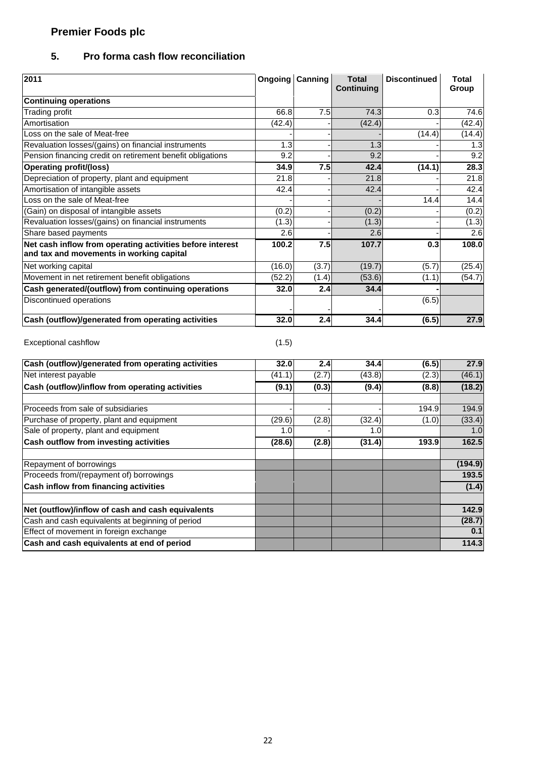## **5. Pro forma cash flow reconciliation**

| 2011                                                                                                  |        | Ongoing Canning | <b>Total</b><br><b>Continuing</b> | <b>Discontinued</b> | <b>Total</b><br>Group |
|-------------------------------------------------------------------------------------------------------|--------|-----------------|-----------------------------------|---------------------|-----------------------|
| <b>Continuing operations</b>                                                                          |        |                 |                                   |                     |                       |
| <b>Trading profit</b>                                                                                 | 66.8   | 7.5             | 74.3                              | 0.3                 | 74.6                  |
| Amortisation                                                                                          | (42.4) |                 | (42.4)                            |                     | (42.4)                |
| Loss on the sale of Meat-free                                                                         |        |                 |                                   | (14.4)              | (14.4)                |
| Revaluation losses/(gains) on financial instruments                                                   | 1.3    |                 | 1.3                               |                     | 1.3                   |
| Pension financing credit on retirement benefit obligations                                            | 9.2    |                 | 9.2                               |                     | 9.2                   |
| <b>Operating profit/(loss)</b>                                                                        | 34.9   | 7.5             | 42.4                              | (14.1)              | 28.3                  |
| Depreciation of property, plant and equipment                                                         | 21.8   |                 | 21.8                              |                     | 21.8                  |
| Amortisation of intangible assets                                                                     | 42.4   |                 | 42.4                              |                     | 42.4                  |
| Loss on the sale of Meat-free                                                                         |        |                 |                                   | 14.4                | 14.4                  |
| (Gain) on disposal of intangible assets                                                               | (0.2)  |                 | (0.2)                             |                     | (0.2)                 |
| Revaluation losses/(gains) on financial instruments                                                   | (1.3)  |                 | (1.3)                             |                     | (1.3)                 |
| Share based payments                                                                                  | 2.6    |                 | 2.6                               |                     | 2.6                   |
| Net cash inflow from operating activities before interest<br>and tax and movements in working capital | 100.2  | 7.5             | 107.7                             | 0.3                 | 108.0                 |
| Net working capital                                                                                   | (16.0) | (3.7)           | (19.7)                            | (5.7)               | (25.4)                |
| Movement in net retirement benefit obligations                                                        | (52.2) | (1.4)           | (53.6)                            | (1.1)               | (54.7)                |
| Cash generated/(outflow) from continuing operations                                                   | 32.0   | 2.4             | 34.4                              |                     |                       |
| Discontinued operations                                                                               |        |                 |                                   | (6.5)               |                       |
| Cash (outflow)/generated from operating activities                                                    | 32.0   | 2.4             | 34.4                              | (6.5)               | 27.9                  |
| Exceptional cashflow                                                                                  | (1.5)  |                 |                                   |                     |                       |
| Cash (outflow)/generated from operating activities                                                    | 32.0   | 2.4             | 34.4                              | (6.5)               | 27.9                  |
| Net interest payable                                                                                  | (41.1) | (2.7)           | (43.8)                            | (2.3)               | (46.1)                |
| Cash (outflow)/inflow from operating activities                                                       | (9.1)  | (0.3)           | (9.4)                             | (8.8)               | (18.2)                |
|                                                                                                       |        |                 |                                   |                     |                       |
| Proceeds from sale of subsidiaries                                                                    |        |                 |                                   | 194.9               | 194.9                 |
| Purchase of property, plant and equipment                                                             | (29.6) | (2.8)           | (32.4)                            | (1.0)               | (33.4)                |
| Sale of property, plant and equipment                                                                 | 1.0    |                 | 1.0                               |                     | 1.0                   |
| Cash outflow from investing activities                                                                | (28.6) | (2.8)           | (31.4)                            | 193.9               | 162.5                 |
| Repayment of borrowings                                                                               |        |                 |                                   |                     | (194.9)               |
| Proceeds from/(repayment of) borrowings                                                               |        |                 |                                   |                     | 193.5                 |
| Cash inflow from financing activities                                                                 |        |                 |                                   |                     | (1.4)                 |
|                                                                                                       |        |                 |                                   |                     |                       |
| Net (outflow)/inflow of cash and cash equivalents                                                     |        |                 |                                   |                     | 142.9                 |
| Cash and cash equivalents at beginning of period                                                      |        |                 |                                   |                     | (28.7)                |
| Effect of movement in foreign exchange                                                                |        |                 |                                   |                     | 0.1                   |
| Cash and cash equivalents at end of period                                                            |        |                 |                                   |                     | 114.3                 |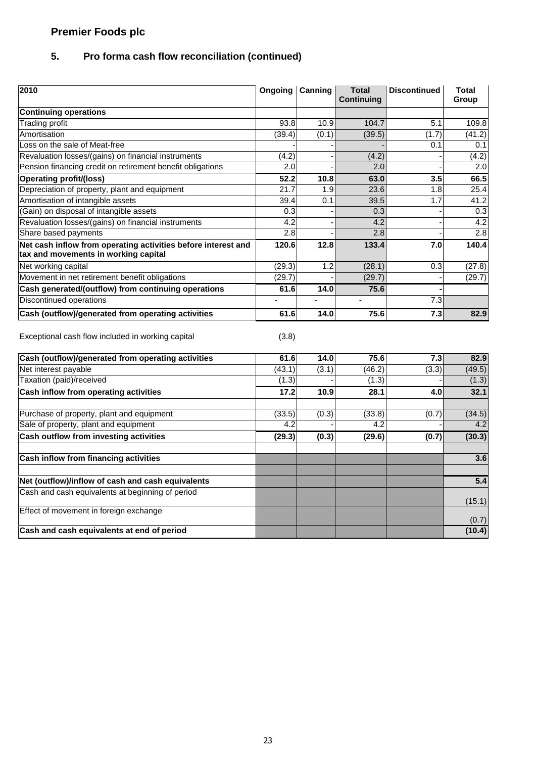# **5. Pro forma cash flow reconciliation (continued)**

| 2010                                                                                                  | Ongoing           | Canning | <b>Total</b><br>Continuing | <b>Discontinued</b> | <b>Total</b><br>Group |
|-------------------------------------------------------------------------------------------------------|-------------------|---------|----------------------------|---------------------|-----------------------|
| <b>Continuing operations</b>                                                                          |                   |         |                            |                     |                       |
| <b>Trading profit</b>                                                                                 | 93.8              | 10.9    | 104.7                      | 5.1                 | 109.8                 |
| Amortisation                                                                                          | (39.4)            | (0.1)   | (39.5)                     | (1.7)               | (41.2)                |
| Loss on the sale of Meat-free                                                                         |                   |         |                            | 0.1                 | 0.1                   |
| Revaluation losses/(gains) on financial instruments                                                   | (4.2)             |         | (4.2)                      |                     | (4.2)                 |
| Pension financing credit on retirement benefit obligations                                            | 2.0               |         | 2.0                        |                     | 2.0                   |
| <b>Operating profit/(loss)</b>                                                                        | $\overline{52.2}$ | 10.8    | 63.0                       | 3.5                 | 66.5                  |
| Depreciation of property, plant and equipment                                                         | $\overline{21.7}$ | 1.9     | 23.6                       | 1.8                 | 25.4                  |
| Amortisation of intangible assets                                                                     | 39.4              | 0.1     | 39.5                       | 1.7                 | 41.2                  |
| (Gain) on disposal of intangible assets                                                               | 0.3               |         | 0.3                        |                     | 0.3                   |
| Revaluation losses/(gains) on financial instruments                                                   | 4.2               |         | 4.2                        |                     | 4.2                   |
| Share based payments                                                                                  | $\overline{2.8}$  |         | 2.8                        |                     | $\overline{2.8}$      |
| Net cash inflow from operating activities before interest and<br>tax and movements in working capital | 120.6             | 12.8    | 133.4                      | 7.0                 | 140.4                 |
| Net working capital                                                                                   | (29.3)            | 1.2     | (28.1)                     | 0.3                 | (27.8)                |
| Movement in net retirement benefit obligations                                                        | (29.7)            |         | (29.7)                     |                     | (29.7)                |
| Cash generated/(outflow) from continuing operations                                                   | 61.6              | 14.0    | 75.6                       |                     |                       |
| <b>Discontinued operations</b>                                                                        |                   |         |                            | 7.3                 |                       |
| Cash (outflow)/generated from operating activities                                                    | 61.6              | 14.0    | 75.6                       | 7.3                 | 82.9                  |
| Exceptional cash flow included in working capital                                                     | (3.8)             |         |                            |                     |                       |
| Cash (outflow)/generated from operating activities                                                    | 61.6              | 14.0    | 75.6                       | 7.3                 | 82.9                  |
| Net interest payable                                                                                  | (43.1)            | (3.1)   | (46.2)                     | (3.3)               | (49.5)                |
| Taxation (paid)/received                                                                              | (1.3)             |         | (1.3)                      |                     | (1.3)                 |
| Cash inflow from operating activities                                                                 | 17.2              | 10.9    | 28.1                       | 4.0                 | 32.1                  |
| Purchase of property, plant and equipment                                                             | (33.5)            | (0.3)   | (33.8)                     | (0.7)               | (34.5)                |
| Sale of property, plant and equipment                                                                 | 4.2               |         | 4.2                        |                     | 4.2                   |
| Cash outflow from investing activities                                                                | (29.3)            | (0.3)   | (29.6)                     | (0.7)               | (30.3)                |
| Cash inflow from financing activities                                                                 |                   |         |                            |                     | 3.6                   |
| Net (outflow)/inflow of cash and cash equivalents                                                     |                   |         |                            |                     | 5.4                   |
| Cash and cash equivalents at beginning of period                                                      |                   |         |                            |                     | (15.1)                |
| Effect of movement in foreign exchange                                                                |                   |         |                            |                     | (0.7)                 |
| Cash and cash equivalents at end of period                                                            |                   |         |                            |                     | (10.4)                |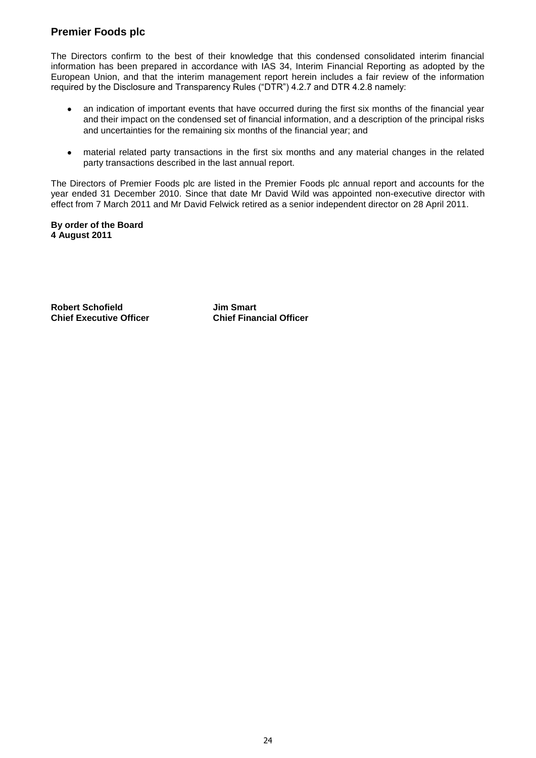The Directors confirm to the best of their knowledge that this condensed consolidated interim financial information has been prepared in accordance with IAS 34, Interim Financial Reporting as adopted by the European Union, and that the interim management report herein includes a fair review of the information required by the Disclosure and Transparency Rules ("DTR") 4.2.7 and DTR 4.2.8 namely:

- an indication of important events that have occurred during the first six months of the financial year  $\bullet$ and their impact on the condensed set of financial information, and a description of the principal risks and uncertainties for the remaining six months of the financial year; and
- material related party transactions in the first six months and any material changes in the related  $\bullet$ party transactions described in the last annual report.

The Directors of Premier Foods plc are listed in the Premier Foods plc annual report and accounts for the year ended 31 December 2010. Since that date Mr David Wild was appointed non-executive director with effect from 7 March 2011 and Mr David Felwick retired as a senior independent director on 28 April 2011.

**By order of the Board 4 August 2011**

**Robert Schofield Jim Smart Chief Executive Officer Chief Financial Officer**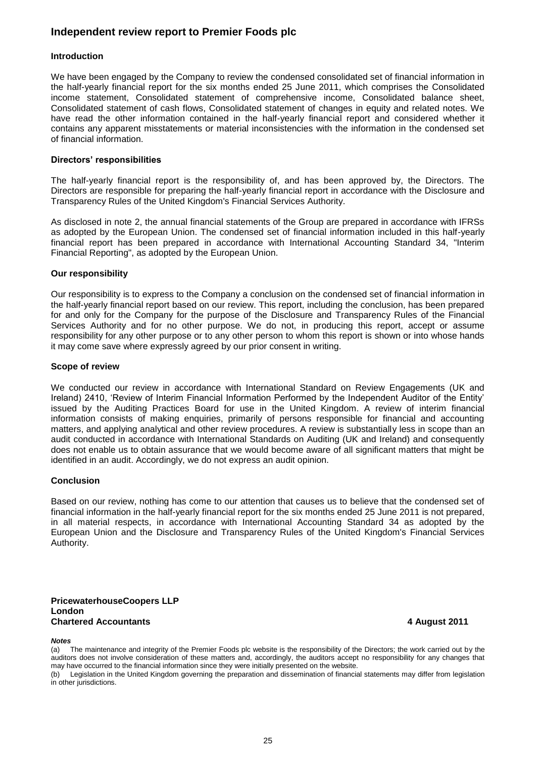## **Independent review report to Premier Foods plc**

### **Introduction**

We have been engaged by the Company to review the condensed consolidated set of financial information in the half-yearly financial report for the six months ended 25 June 2011, which comprises the Consolidated income statement, Consolidated statement of comprehensive income, Consolidated balance sheet, Consolidated statement of cash flows, Consolidated statement of changes in equity and related notes. We have read the other information contained in the half-yearly financial report and considered whether it contains any apparent misstatements or material inconsistencies with the information in the condensed set of financial information.

### **Directors' responsibilities**

The half-yearly financial report is the responsibility of, and has been approved by, the Directors. The Directors are responsible for preparing the half-yearly financial report in accordance with the Disclosure and Transparency Rules of the United Kingdom's Financial Services Authority.

As disclosed in note 2, the annual financial statements of the Group are prepared in accordance with IFRSs as adopted by the European Union. The condensed set of financial information included in this half-yearly financial report has been prepared in accordance with International Accounting Standard 34, "Interim Financial Reporting", as adopted by the European Union.

### **Our responsibility**

Our responsibility is to express to the Company a conclusion on the condensed set of financial information in the half-yearly financial report based on our review. This report, including the conclusion, has been prepared for and only for the Company for the purpose of the Disclosure and Transparency Rules of the Financial Services Authority and for no other purpose. We do not, in producing this report, accept or assume responsibility for any other purpose or to any other person to whom this report is shown or into whose hands it may come save where expressly agreed by our prior consent in writing.

### **Scope of review**

We conducted our review in accordance with International Standard on Review Engagements (UK and Ireland) 2410, "Review of Interim Financial Information Performed by the Independent Auditor of the Entity" issued by the Auditing Practices Board for use in the United Kingdom. A review of interim financial information consists of making enquiries, primarily of persons responsible for financial and accounting matters, and applying analytical and other review procedures. A review is substantially less in scope than an audit conducted in accordance with International Standards on Auditing (UK and Ireland) and consequently does not enable us to obtain assurance that we would become aware of all significant matters that might be identified in an audit. Accordingly, we do not express an audit opinion.

#### **Conclusion**

Based on our review, nothing has come to our attention that causes us to believe that the condensed set of financial information in the half-yearly financial report for the six months ended 25 June 2011 is not prepared, in all material respects, in accordance with International Accounting Standard 34 as adopted by the European Union and the Disclosure and Transparency Rules of the United Kingdom's Financial Services Authority.

#### **PricewaterhouseCoopers LLP London Chartered Accountants 4 August 2011**

#### *Notes*

(a) The maintenance and integrity of the Premier Foods plc website is the responsibility of the Directors; the work carried out by the auditors does not involve consideration of these matters and, accordingly, the auditors accept no responsibility for any changes that may have occurred to the financial information since they were initially presented on the website.

(b) Legislation in the United Kingdom governing the preparation and dissemination of financial statements may differ from legislation in other jurisdictions.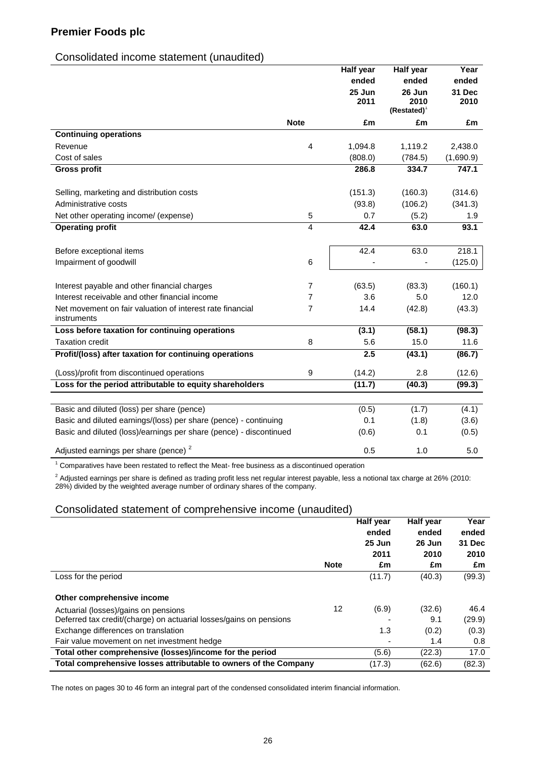## Consolidated income statement (unaudited)

|                                                                          |                | Half year | Half year      | Year      |
|--------------------------------------------------------------------------|----------------|-----------|----------------|-----------|
|                                                                          |                | ended     | ended          | ended     |
|                                                                          |                | 25 Jun    | 26 Jun         | 31 Dec    |
|                                                                          |                | 2011      | 2010           | 2010      |
|                                                                          |                |           | $(Restated)^1$ |           |
|                                                                          | <b>Note</b>    | £m        | £m             | £m        |
| <b>Continuing operations</b>                                             |                |           |                |           |
| Revenue                                                                  | 4              | 1,094.8   | 1,119.2        | 2,438.0   |
| Cost of sales                                                            |                | (808.0)   | (784.5)        | (1,690.9) |
| <b>Gross profit</b>                                                      |                | 286.8     | 334.7          | 747.1     |
|                                                                          |                |           |                |           |
| Selling, marketing and distribution costs                                |                | (151.3)   | (160.3)        | (314.6)   |
| Administrative costs                                                     |                | (93.8)    | (106.2)        | (341.3)   |
| Net other operating income/ (expense)                                    | $\mathbf 5$    | 0.7       | (5.2)          | 1.9       |
| <b>Operating profit</b>                                                  | 4              | 42.4      | 63.0           | 93.1      |
|                                                                          |                |           |                |           |
| Before exceptional items                                                 |                | 42.4      | 63.0           | 218.1     |
| Impairment of goodwill                                                   | 6              |           |                | (125.0)   |
|                                                                          |                |           |                |           |
| Interest payable and other financial charges                             | 7              | (63.5)    | (83.3)         | (160.1)   |
| Interest receivable and other financial income                           | 7              | 3.6       | 5.0            | 12.0      |
| Net movement on fair valuation of interest rate financial<br>instruments | $\overline{7}$ | 14.4      | (42.8)         | (43.3)    |
| Loss before taxation for continuing operations                           |                | (3.1)     | (58.1)         | (98.3)    |
| <b>Taxation credit</b>                                                   | 8              | 5.6       | 15.0           | 11.6      |
| Profit/(loss) after taxation for continuing operations                   |                | 2.5       | (43.1)         | (86.7)    |
| (Loss)/profit from discontinued operations                               | 9              | (14.2)    | 2.8            | (12.6)    |
| Loss for the period attributable to equity shareholders                  |                | (11.7)    | (40.3)         | (99.3)    |
|                                                                          |                |           |                |           |
| Basic and diluted (loss) per share (pence)                               |                | (0.5)     | (1.7)          | (4.1)     |
| Basic and diluted earnings/(loss) per share (pence) - continuing         |                | 0.1       | (1.8)          | (3.6)     |
| Basic and diluted (loss)/earnings per share (pence) - discontinued       |                | (0.6)     | 0.1            | (0.5)     |
| Adjusted earnings per share (pence) <sup>2</sup>                         |                | 0.5       | 1.0            | 5.0       |

 $1$  Comparatives have been restated to reflect the Meat- free business as a discontinued operation

 $2$  Adjusted earnings per share is defined as trading profit less net regular interest payable, less a notional tax charge at 26% (2010: 28%) divided by the weighted average number of ordinary shares of the company.

## Consolidated statement of comprehensive income (unaudited)

|                                                                    | <b>Note</b> | Half year<br>ended<br>25 Jun<br>2011<br>£m | <b>Half year</b><br>ended<br>26 Jun<br>2010<br>£m | Year<br>ended<br>31 Dec<br>2010<br>£m |
|--------------------------------------------------------------------|-------------|--------------------------------------------|---------------------------------------------------|---------------------------------------|
| Loss for the period                                                |             | (11.7)                                     | (40.3)                                            | (99.3)                                |
| Other comprehensive income                                         |             |                                            |                                                   |                                       |
| Actuarial (losses)/gains on pensions                               | 12          | (6.9)                                      | (32.6)                                            | 46.4                                  |
| Deferred tax credit/(charge) on actuarial losses/gains on pensions |             |                                            | 9.1                                               | (29.9)                                |
| Exchange differences on translation                                |             | 1.3                                        | (0.2)                                             | (0.3)                                 |
| Fair value movement on net investment hedge                        |             |                                            | 1.4                                               | 0.8                                   |
| Total other comprehensive (losses)/income for the period           |             | (5.6)                                      | (22.3)                                            | 17.0                                  |
| Total comprehensive losses attributable to owners of the Company   |             | (17.3)                                     | (62.6)                                            | (82.3)                                |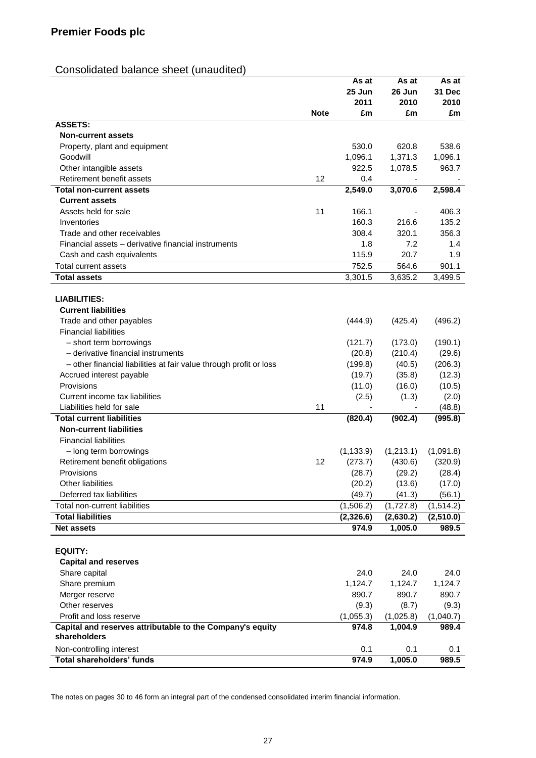## Consolidated balance sheet (unaudited)

|                                                                           |             | As at      | As at     | As at     |
|---------------------------------------------------------------------------|-------------|------------|-----------|-----------|
|                                                                           |             | 25 Jun     | 26 Jun    | 31 Dec    |
|                                                                           |             | 2011       | 2010      | 2010      |
|                                                                           | <b>Note</b> | £m         | £m        | £m        |
| <b>ASSETS:</b>                                                            |             |            |           |           |
| <b>Non-current assets</b>                                                 |             |            |           |           |
| Property, plant and equipment                                             |             | 530.0      | 620.8     | 538.6     |
| Goodwill                                                                  |             | 1,096.1    | 1,371.3   | 1,096.1   |
| Other intangible assets                                                   |             | 922.5      | 1,078.5   | 963.7     |
| Retirement benefit assets                                                 | 12          | 0.4        |           |           |
| Total non-current assets                                                  |             | 2,549.0    | 3,070.6   | 2,598.4   |
| <b>Current assets</b>                                                     |             |            |           |           |
| Assets held for sale                                                      | 11          | 166.1      |           | 406.3     |
| Inventories                                                               |             | 160.3      | 216.6     | 135.2     |
| Trade and other receivables                                               |             | 308.4      | 320.1     | 356.3     |
| Financial assets - derivative financial instruments                       |             | 1.8        | 7.2       | 1.4       |
| Cash and cash equivalents                                                 |             | 115.9      | 20.7      | 1.9       |
| Total current assets                                                      |             | 752.5      | 564.6     | 901.1     |
| <b>Total assets</b>                                                       |             | 3,301.5    | 3,635.2   | 3,499.5   |
|                                                                           |             |            |           |           |
| <b>LIABILITIES:</b>                                                       |             |            |           |           |
| <b>Current liabilities</b>                                                |             |            |           |           |
| Trade and other payables                                                  |             | (444.9)    | (425.4)   | (496.2)   |
| <b>Financial liabilities</b>                                              |             |            |           |           |
| - short term borrowings                                                   |             | (121.7)    | (173.0)   | (190.1)   |
| - derivative financial instruments                                        |             | (20.8)     | (210.4)   | (29.6)    |
| - other financial liabilities at fair value through profit or loss        |             | (199.8)    | (40.5)    | (206.3)   |
| Accrued interest payable                                                  |             | (19.7)     | (35.8)    | (12.3)    |
| Provisions                                                                |             | (11.0)     | (16.0)    | (10.5)    |
| Current income tax liabilities                                            |             | (2.5)      | (1.3)     | (2.0)     |
| Liabilities held for sale                                                 | 11          |            |           | (48.8)    |
| <b>Total current liabilities</b>                                          |             | (820.4)    | (902.4)   | (995.8)   |
| <b>Non-current liabilities</b>                                            |             |            |           |           |
| <b>Financial liabilities</b>                                              |             |            |           |           |
| - long term borrowings                                                    |             | (1, 133.9) | (1,213.1) | (1,091.8) |
| Retirement benefit obligations                                            | 12          | (273.7)    | (430.6)   | (320.9)   |
| Provisions                                                                |             | (28.7)     | (29.2)    | (28.4)    |
| Other liabilities                                                         |             | (20.2)     | (13.6)    | (17.0)    |
| Deferred tax liabilities                                                  |             | (49.7)     | (41.3)    | (56.1)    |
| Total non-current liabilities                                             |             | (1,506.2)  | (1,727.8) | (1,514.2) |
| <b>Total liabilities</b>                                                  |             | (2, 326.6) | (2,630.2) | (2,510.0) |
| <b>Net assets</b>                                                         |             | 974.9      | 1,005.0   | 989.5     |
|                                                                           |             |            |           |           |
| <b>EQUITY:</b>                                                            |             |            |           |           |
| <b>Capital and reserves</b>                                               |             |            |           |           |
| Share capital                                                             |             | 24.0       | 24.0      | 24.0      |
| Share premium                                                             |             | 1,124.7    | 1,124.7   | 1,124.7   |
| Merger reserve                                                            |             | 890.7      | 890.7     | 890.7     |
| Other reserves                                                            |             | (9.3)      | (8.7)     | (9.3)     |
| Profit and loss reserve                                                   |             | (1,055.3)  | (1,025.8) | (1,040.7) |
| Capital and reserves attributable to the Company's equity<br>shareholders |             | 974.8      | 1,004.9   | 989.4     |
| Non-controlling interest                                                  |             | 0.1        | 0.1       | 0.1       |
| <b>Total shareholders' funds</b>                                          |             | 974.9      | 1,005.0   | 989.5     |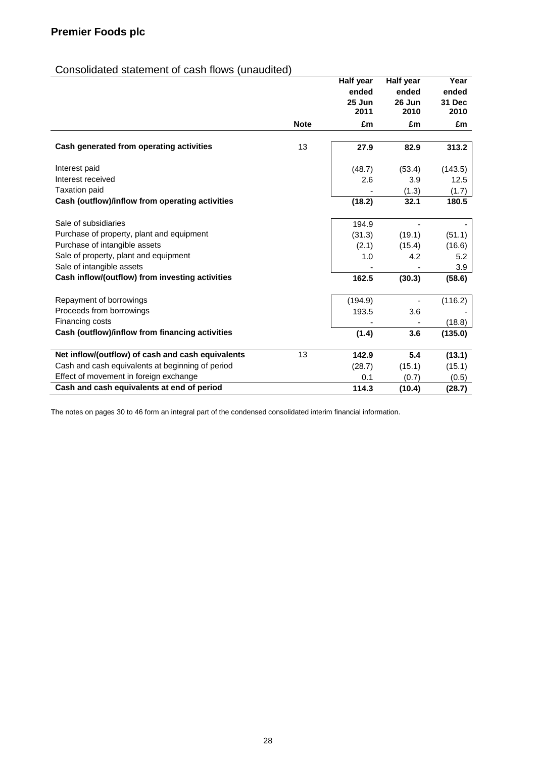# Consolidated statement of cash flows (unaudited)

|                                                   |             | <b>Half year</b> | <b>Half year</b> | Year    |
|---------------------------------------------------|-------------|------------------|------------------|---------|
|                                                   |             | ended            | ended            | ended   |
|                                                   |             | 25 Jun           | 26 Jun           | 31 Dec  |
|                                                   |             | 2011             | 2010             | 2010    |
|                                                   | <b>Note</b> | £m               | £m               | £m      |
| Cash generated from operating activities          | 13          | 27.9             | 82.9             | 313.2   |
| Interest paid                                     |             | (48.7)           | (53.4)           | (143.5) |
| Interest received                                 |             | 2.6              | 3.9              | 12.5    |
| <b>Taxation paid</b>                              |             |                  | (1.3)            | (1.7)   |
| Cash (outflow)/inflow from operating activities   |             | (18.2)           | 32.1             | 180.5   |
| Sale of subsidiaries                              |             | 194.9            |                  |         |
| Purchase of property, plant and equipment         |             | (31.3)           | (19.1)           | (51.1)  |
| Purchase of intangible assets                     |             | (2.1)            | (15.4)           | (16.6)  |
| Sale of property, plant and equipment             |             | 1.0              | 4.2              | 5.2     |
| Sale of intangible assets                         |             |                  |                  | 3.9     |
| Cash inflow/(outflow) from investing activities   |             | 162.5            | (30.3)           | (58.6)  |
| Repayment of borrowings                           |             | (194.9)          |                  | (116.2) |
| Proceeds from borrowings                          |             | 193.5            | 3.6              |         |
| Financing costs                                   |             |                  |                  | (18.8)  |
| Cash (outflow)/inflow from financing activities   |             | (1.4)            | 3.6              | (135.0) |
| Net inflow/(outflow) of cash and cash equivalents | 13          | 142.9            | 5.4              | (13.1)  |
| Cash and cash equivalents at beginning of period  |             | (28.7)           | (15.1)           | (15.1)  |
| Effect of movement in foreign exchange            |             | 0.1              | (0.7)            | (0.5)   |
| Cash and cash equivalents at end of period        |             | 114.3            | (10.4)           | (28.7)  |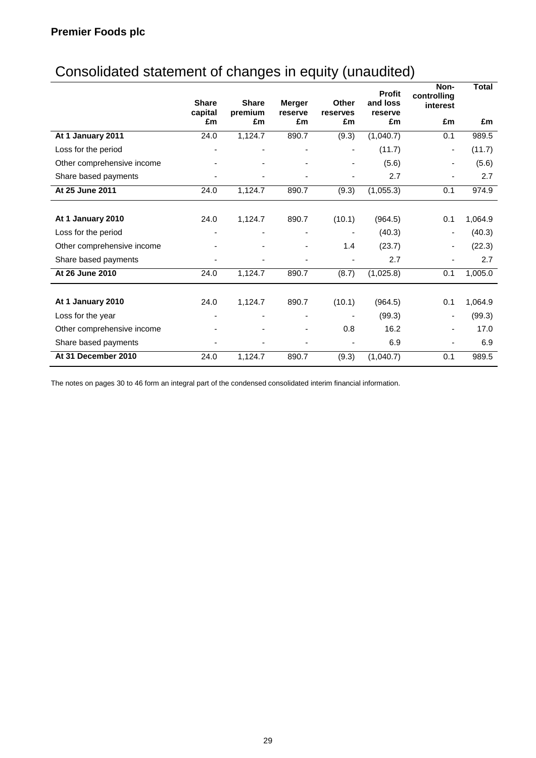# Consolidated statement of changes in equity (unaudited)

|                            | <b>Share</b><br>capital | <b>Share</b><br>premium | <b>Merger</b><br>reserve | Other<br>reserves | <b>Profit</b><br>and loss<br>reserve | Non-<br>controlling<br>interest | <b>Total</b> |
|----------------------------|-------------------------|-------------------------|--------------------------|-------------------|--------------------------------------|---------------------------------|--------------|
|                            | £m                      | £m                      | £m                       | £m                | £m                                   | £m                              | £m           |
| At 1 January 2011          | 24.0                    | 1,124.7                 | 890.7                    | (9.3)             | (1,040.7)                            | 0.1                             | 989.5        |
| Loss for the period        |                         |                         |                          |                   | (11.7)                               | $\overline{\phantom{0}}$        | (11.7)       |
| Other comprehensive income |                         |                         |                          |                   | (5.6)                                | $\overline{\phantom{a}}$        | (5.6)        |
| Share based payments       |                         |                         |                          |                   | 2.7                                  |                                 | 2.7          |
| At 25 June 2011            | 24.0                    | 1,124.7                 | 890.7                    | (9.3)             | $(1,055.\overline{3})$               | 0.1                             | 974.9        |
|                            |                         |                         |                          |                   |                                      |                                 |              |
| At 1 January 2010          | 24.0                    | 1,124.7                 | 890.7                    | (10.1)            | (964.5)                              | 0.1                             | 1,064.9      |
| Loss for the period        |                         |                         |                          |                   | (40.3)                               |                                 | (40.3)       |
| Other comprehensive income |                         |                         |                          | 1.4               | (23.7)                               |                                 | (22.3)       |
| Share based payments       |                         |                         |                          |                   | 2.7                                  |                                 | 2.7          |
| At 26 June 2010            | 24.0                    | 1,124.7                 | 890.7                    | (8.7)             | (1,025.8)                            | 0.1                             | 1,005.0      |
|                            |                         |                         |                          |                   |                                      |                                 |              |
| At 1 January 2010          | 24.0                    | 1,124.7                 | 890.7                    | (10.1)            | (964.5)                              | 0.1                             | 1,064.9      |
| Loss for the year          |                         |                         |                          |                   | (99.3)                               |                                 | (99.3)       |
| Other comprehensive income |                         |                         |                          | 0.8               | 16.2                                 | $\blacksquare$                  | 17.0         |
| Share based payments       |                         |                         |                          |                   | 6.9                                  |                                 | 6.9          |
| At 31 December 2010        | 24.0                    | 1,124.7                 | 890.7                    | (9.3)             | (1,040.7)                            | 0.1                             | 989.5        |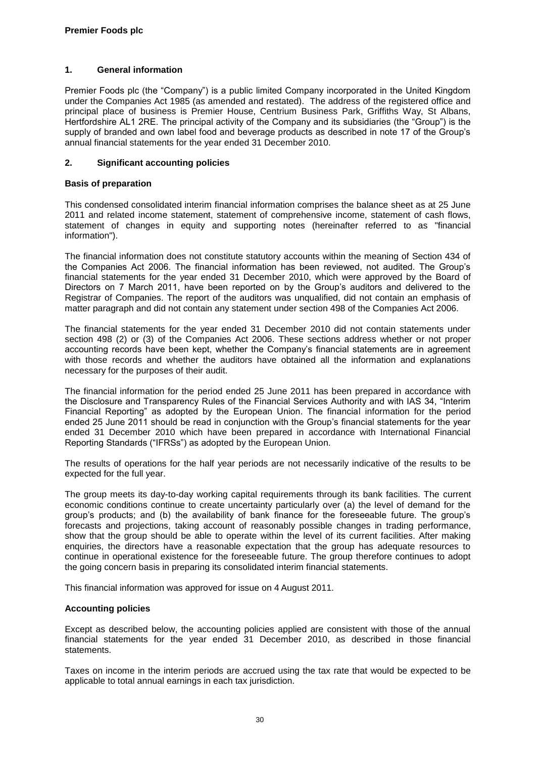### **1. General information**

Premier Foods plc (the "Company") is a public limited Company incorporated in the United Kingdom under the Companies Act 1985 (as amended and restated). The address of the registered office and principal place of business is Premier House, Centrium Business Park, Griffiths Way, St Albans, Hertfordshire AL1 2RE. The principal activity of the Company and its subsidiaries (the "Group") is the supply of branded and own label food and beverage products as described in note 17 of the Group's annual financial statements for the year ended 31 December 2010.

### **2. Significant accounting policies**

### **Basis of preparation**

This condensed consolidated interim financial information comprises the balance sheet as at 25 June 2011 and related income statement, statement of comprehensive income, statement of cash flows, statement of changes in equity and supporting notes (hereinafter referred to as "financial information").

The financial information does not constitute statutory accounts within the meaning of Section 434 of the Companies Act 2006. The financial information has been reviewed, not audited. The Group"s financial statements for the year ended 31 December 2010, which were approved by the Board of Directors on 7 March 2011, have been reported on by the Group"s auditors and delivered to the Registrar of Companies. The report of the auditors was unqualified, did not contain an emphasis of matter paragraph and did not contain any statement under section 498 of the Companies Act 2006.

The financial statements for the year ended 31 December 2010 did not contain statements under section 498 (2) or (3) of the Companies Act 2006. These sections address whether or not proper accounting records have been kept, whether the Company"s financial statements are in agreement with those records and whether the auditors have obtained all the information and explanations necessary for the purposes of their audit.

The financial information for the period ended 25 June 2011 has been prepared in accordance with the Disclosure and Transparency Rules of the Financial Services Authority and with IAS 34, "Interim Financial Reporting" as adopted by the European Union. The financial information for the period ended 25 June 2011 should be read in conjunction with the Group"s financial statements for the year ended 31 December 2010 which have been prepared in accordance with International Financial Reporting Standards ("IFRSs") as adopted by the European Union.

The results of operations for the half year periods are not necessarily indicative of the results to be expected for the full year.

The group meets its day-to-day working capital requirements through its bank facilities. The current economic conditions continue to create uncertainty particularly over (a) the level of demand for the group"s products; and (b) the availability of bank finance for the foreseeable future. The group"s forecasts and projections, taking account of reasonably possible changes in trading performance, show that the group should be able to operate within the level of its current facilities. After making enquiries, the directors have a reasonable expectation that the group has adequate resources to continue in operational existence for the foreseeable future. The group therefore continues to adopt the going concern basis in preparing its consolidated interim financial statements.

This financial information was approved for issue on 4 August 2011.

### **Accounting policies**

Except as described below, the accounting policies applied are consistent with those of the annual financial statements for the year ended 31 December 2010, as described in those financial statements.

Taxes on income in the interim periods are accrued using the tax rate that would be expected to be applicable to total annual earnings in each tax jurisdiction.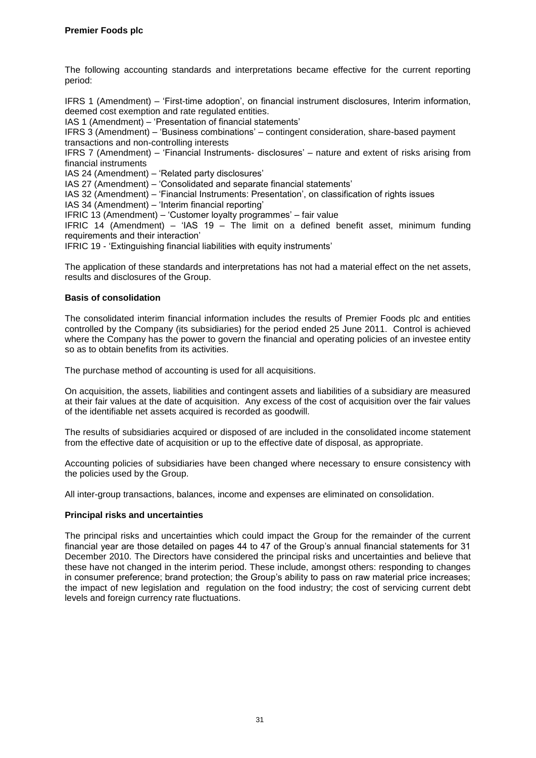The following accounting standards and interpretations became effective for the current reporting period:

IFRS 1 (Amendment) – "First-time adoption", on financial instrument disclosures, Interim information, deemed cost exemption and rate regulated entities. IAS 1 (Amendment) – "Presentation of financial statements" IFRS 3 (Amendment) – "Business combinations" – contingent consideration, share-based payment transactions and non-controlling interests IFRS 7 (Amendment) – "Financial Instruments- disclosures" – nature and extent of risks arising from financial instruments IAS 24 (Amendment) – 'Related party disclosures' IAS 27 (Amendment) – "Consolidated and separate financial statements" IAS 32 (Amendment) – "Financial Instruments: Presentation", on classification of rights issues IAS 34 (Amendment) – "Interim financial reporting" IFRIC 13 (Amendment) – "Customer loyalty programmes" – fair value IFRIC 14 (Amendment) – "IAS 19 – The limit on a defined benefit asset, minimum funding requirements and their interaction' IFRIC 19 - "Extinguishing financial liabilities with equity instruments"

The application of these standards and interpretations has not had a material effect on the net assets, results and disclosures of the Group.

### **Basis of consolidation**

The consolidated interim financial information includes the results of Premier Foods plc and entities controlled by the Company (its subsidiaries) for the period ended 25 June 2011. Control is achieved where the Company has the power to govern the financial and operating policies of an investee entity so as to obtain benefits from its activities.

The purchase method of accounting is used for all acquisitions.

On acquisition, the assets, liabilities and contingent assets and liabilities of a subsidiary are measured at their fair values at the date of acquisition. Any excess of the cost of acquisition over the fair values of the identifiable net assets acquired is recorded as goodwill.

The results of subsidiaries acquired or disposed of are included in the consolidated income statement from the effective date of acquisition or up to the effective date of disposal, as appropriate.

Accounting policies of subsidiaries have been changed where necessary to ensure consistency with the policies used by the Group.

All inter-group transactions, balances, income and expenses are eliminated on consolidation.

### **Principal risks and uncertainties**

The principal risks and uncertainties which could impact the Group for the remainder of the current financial year are those detailed on pages 44 to 47 of the Group"s annual financial statements for 31 December 2010. The Directors have considered the principal risks and uncertainties and believe that these have not changed in the interim period. These include, amongst others: responding to changes in consumer preference; brand protection; the Group"s ability to pass on raw material price increases; the impact of new legislation and regulation on the food industry; the cost of servicing current debt levels and foreign currency rate fluctuations.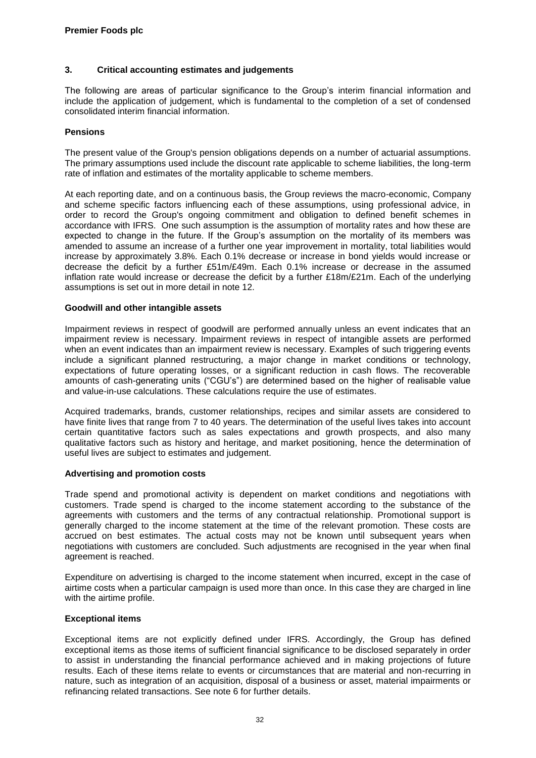### **3. Critical accounting estimates and judgements**

The following are areas of particular significance to the Group's interim financial information and include the application of judgement, which is fundamental to the completion of a set of condensed consolidated interim financial information.

### **Pensions**

The present value of the Group's pension obligations depends on a number of actuarial assumptions. The primary assumptions used include the discount rate applicable to scheme liabilities, the long-term rate of inflation and estimates of the mortality applicable to scheme members.

At each reporting date, and on a continuous basis, the Group reviews the macro-economic, Company and scheme specific factors influencing each of these assumptions, using professional advice, in order to record the Group's ongoing commitment and obligation to defined benefit schemes in accordance with IFRS. One such assumption is the assumption of mortality rates and how these are expected to change in the future. If the Group"s assumption on the mortality of its members was amended to assume an increase of a further one year improvement in mortality, total liabilities would increase by approximately 3.8%. Each 0.1% decrease or increase in bond yields would increase or decrease the deficit by a further £51m/£49m. Each 0.1% increase or decrease in the assumed inflation rate would increase or decrease the deficit by a further £18m/£21m. Each of the underlying assumptions is set out in more detail in note 12.

### **Goodwill and other intangible assets**

Impairment reviews in respect of goodwill are performed annually unless an event indicates that an impairment review is necessary. Impairment reviews in respect of intangible assets are performed when an event indicates than an impairment review is necessary. Examples of such triggering events include a significant planned restructuring, a major change in market conditions or technology, expectations of future operating losses, or a significant reduction in cash flows. The recoverable amounts of cash-generating units ("CGU"s") are determined based on the higher of realisable value and value-in-use calculations. These calculations require the use of estimates.

Acquired trademarks, brands, customer relationships, recipes and similar assets are considered to have finite lives that range from 7 to 40 years. The determination of the useful lives takes into account certain quantitative factors such as sales expectations and growth prospects, and also many qualitative factors such as history and heritage, and market positioning, hence the determination of useful lives are subject to estimates and judgement.

### **Advertising and promotion costs**

Trade spend and promotional activity is dependent on market conditions and negotiations with customers. Trade spend is charged to the income statement according to the substance of the agreements with customers and the terms of any contractual relationship. Promotional support is generally charged to the income statement at the time of the relevant promotion. These costs are accrued on best estimates. The actual costs may not be known until subsequent years when negotiations with customers are concluded. Such adjustments are recognised in the year when final agreement is reached.

Expenditure on advertising is charged to the income statement when incurred, except in the case of airtime costs when a particular campaign is used more than once. In this case they are charged in line with the airtime profile.

### **Exceptional items**

Exceptional items are not explicitly defined under IFRS. Accordingly, the Group has defined exceptional items as those items of sufficient financial significance to be disclosed separately in order to assist in understanding the financial performance achieved and in making projections of future results. Each of these items relate to events or circumstances that are material and non-recurring in nature, such as integration of an acquisition, disposal of a business or asset, material impairments or refinancing related transactions. See note 6 for further details.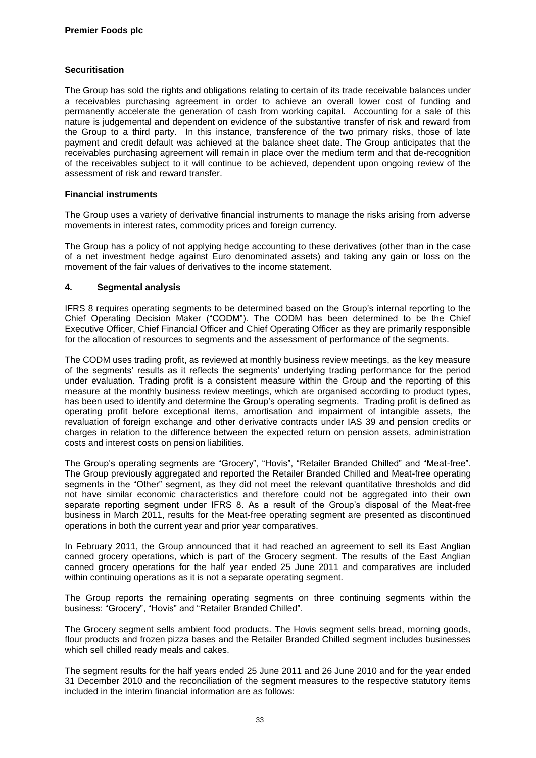### **Securitisation**

The Group has sold the rights and obligations relating to certain of its trade receivable balances under a receivables purchasing agreement in order to achieve an overall lower cost of funding and permanently accelerate the generation of cash from working capital. Accounting for a sale of this nature is judgemental and dependent on evidence of the substantive transfer of risk and reward from the Group to a third party. In this instance, transference of the two primary risks, those of late payment and credit default was achieved at the balance sheet date. The Group anticipates that the receivables purchasing agreement will remain in place over the medium term and that de-recognition of the receivables subject to it will continue to be achieved, dependent upon ongoing review of the assessment of risk and reward transfer.

### **Financial instruments**

The Group uses a variety of derivative financial instruments to manage the risks arising from adverse movements in interest rates, commodity prices and foreign currency.

The Group has a policy of not applying hedge accounting to these derivatives (other than in the case of a net investment hedge against Euro denominated assets) and taking any gain or loss on the movement of the fair values of derivatives to the income statement.

### **4. Segmental analysis**

IFRS 8 requires operating segments to be determined based on the Group"s internal reporting to the Chief Operating Decision Maker ("CODM"). The CODM has been determined to be the Chief Executive Officer, Chief Financial Officer and Chief Operating Officer as they are primarily responsible for the allocation of resources to segments and the assessment of performance of the segments.

The CODM uses trading profit, as reviewed at monthly business review meetings, as the key measure of the segments" results as it reflects the segments" underlying trading performance for the period under evaluation. Trading profit is a consistent measure within the Group and the reporting of this measure at the monthly business review meetings, which are organised according to product types, has been used to identify and determine the Group"s operating segments. Trading profit is defined as operating profit before exceptional items, amortisation and impairment of intangible assets, the revaluation of foreign exchange and other derivative contracts under IAS 39 and pension credits or charges in relation to the difference between the expected return on pension assets, administration costs and interest costs on pension liabilities.

The Group's operating segments are "Grocery", "Hovis", "Retailer Branded Chilled" and "Meat-free". The Group previously aggregated and reported the Retailer Branded Chilled and Meat-free operating segments in the "Other" segment, as they did not meet the relevant quantitative thresholds and did not have similar economic characteristics and therefore could not be aggregated into their own separate reporting segment under IFRS 8. As a result of the Group"s disposal of the Meat-free business in March 2011, results for the Meat-free operating segment are presented as discontinued operations in both the current year and prior year comparatives.

In February 2011, the Group announced that it had reached an agreement to sell its East Anglian canned grocery operations, which is part of the Grocery segment. The results of the East Anglian canned grocery operations for the half year ended 25 June 2011 and comparatives are included within continuing operations as it is not a separate operating segment.

The Group reports the remaining operating segments on three continuing segments within the business: "Grocery", "Hovis" and "Retailer Branded Chilled".

The Grocery segment sells ambient food products. The Hovis segment sells bread, morning goods, flour products and frozen pizza bases and the Retailer Branded Chilled segment includes businesses which sell chilled ready meals and cakes.

The segment results for the half years ended 25 June 2011 and 26 June 2010 and for the year ended 31 December 2010 and the reconciliation of the segment measures to the respective statutory items included in the interim financial information are as follows: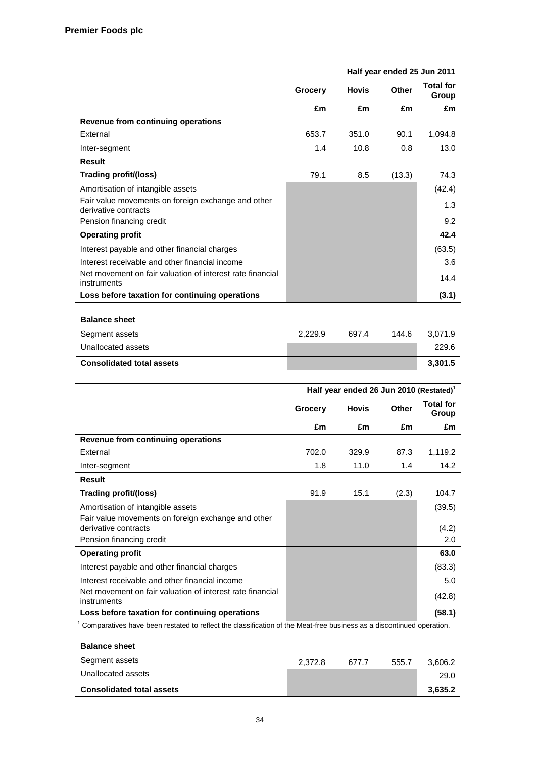|                                                                            |         | Half year ended 25 Jun 2011 |        |                           |  |
|----------------------------------------------------------------------------|---------|-----------------------------|--------|---------------------------|--|
|                                                                            | Grocery | <b>Hovis</b>                | Other  | <b>Total for</b><br>Group |  |
|                                                                            | £m      | £m                          | £m     | £m                        |  |
| Revenue from continuing operations                                         |         |                             |        |                           |  |
| External                                                                   | 653.7   | 351.0                       | 90.1   | 1,094.8                   |  |
| Inter-segment                                                              | 1.4     | 10.8                        | 0.8    | 13.0                      |  |
| Result                                                                     |         |                             |        |                           |  |
| Trading profit/(loss)                                                      | 79.1    | 8.5                         | (13.3) | 74.3                      |  |
| Amortisation of intangible assets                                          |         |                             |        | (42.4)                    |  |
| Fair value movements on foreign exchange and other<br>derivative contracts |         |                             |        | 1.3                       |  |
| Pension financing credit                                                   |         |                             |        | 9.2                       |  |
| <b>Operating profit</b>                                                    |         |                             |        | 42.4                      |  |
| Interest payable and other financial charges                               |         |                             |        | (63.5)                    |  |
| Interest receivable and other financial income                             |         |                             |        | 3.6                       |  |
| Net movement on fair valuation of interest rate financial<br>instruments   |         |                             |        | 14.4                      |  |
| Loss before taxation for continuing operations                             |         |                             |        | (3.1)                     |  |
|                                                                            |         |                             |        |                           |  |
| <b>Balance sheet</b>                                                       |         |                             |        |                           |  |
| Segment assets                                                             | 2,229.9 | 697.4                       | 144.6  | 3,071.9                   |  |
| Unallocated assets                                                         |         |                             |        | 229.6                     |  |
| <b>Consolidated total assets</b>                                           |         |                             |        | 3,301.5                   |  |
|                                                                            |         |                             |        |                           |  |

|                                                                            | Half year ended 26 Jun 2010 (Restated) <sup>1</sup> |              |       |                           |  |
|----------------------------------------------------------------------------|-----------------------------------------------------|--------------|-------|---------------------------|--|
|                                                                            | Grocery                                             | <b>Hovis</b> | Other | <b>Total for</b><br>Group |  |
|                                                                            | £m                                                  | £m           | £m    | £m                        |  |
| Revenue from continuing operations                                         |                                                     |              |       |                           |  |
| External                                                                   | 702.0                                               | 329.9        | 87.3  | 1,119.2                   |  |
| Inter-segment                                                              | 1.8                                                 | 11.0         | 1.4   | 14.2                      |  |
| Result                                                                     |                                                     |              |       |                           |  |
| Trading profit/(loss)                                                      | 91.9                                                | 15.1         | (2.3) | 104.7                     |  |
| Amortisation of intangible assets                                          |                                                     |              |       | (39.5)                    |  |
| Fair value movements on foreign exchange and other<br>derivative contracts |                                                     |              |       | (4.2)                     |  |
| Pension financing credit                                                   |                                                     |              |       | 2.0                       |  |
| <b>Operating profit</b>                                                    |                                                     |              |       | 63.0                      |  |
| Interest payable and other financial charges                               |                                                     |              |       | (83.3)                    |  |
| Interest receivable and other financial income                             |                                                     |              |       | 5.0                       |  |
| Net movement on fair valuation of interest rate financial<br>instruments   |                                                     |              |       | (42.8)                    |  |
| Loss before taxation for continuing operations                             |                                                     |              |       | (58.1)                    |  |

<sup>1</sup> Comparatives have been restated to reflect the classification of the Meat-free business as a discontinued operation.

| <b>Balance sheet</b>             |         |       |       |         |
|----------------------------------|---------|-------|-------|---------|
| Segment assets                   | 2.372.8 | 677.7 | 555.7 | 3.606.2 |
| Unallocated assets               |         |       |       | 29.0    |
| <b>Consolidated total assets</b> |         |       |       | 3,635.2 |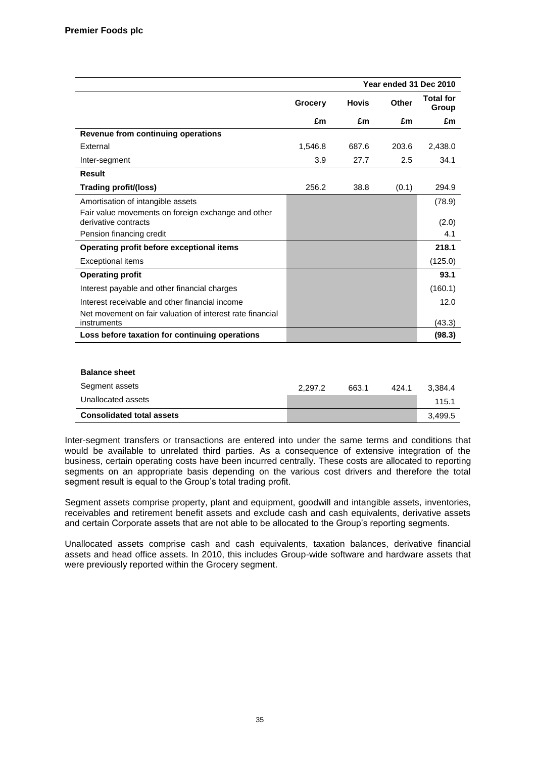|                                                                          | Year ended 31 Dec 2010 |              |       |                           |
|--------------------------------------------------------------------------|------------------------|--------------|-------|---------------------------|
|                                                                          | Grocery                | <b>Hovis</b> | Other | <b>Total for</b><br>Group |
|                                                                          | £m                     | £m           | £m    | £m                        |
| Revenue from continuing operations                                       |                        |              |       |                           |
| External                                                                 | 1,546.8                | 687.6        | 203.6 | 2,438.0                   |
| Inter-segment                                                            | 3.9                    | 27.7         | 2.5   | 34.1                      |
| Result                                                                   |                        |              |       |                           |
| Trading profit/(loss)                                                    | 256.2                  | 38.8         | (0.1) | 294.9                     |
| Amortisation of intangible assets                                        |                        |              |       | (78.9)                    |
| Fair value movements on foreign exchange and other                       |                        |              |       |                           |
| derivative contracts                                                     |                        |              |       | (2.0)                     |
| Pension financing credit                                                 |                        |              |       | 4.1                       |
| Operating profit before exceptional items                                |                        |              |       | 218.1                     |
| <b>Exceptional items</b>                                                 |                        |              |       | (125.0)                   |
| <b>Operating profit</b>                                                  |                        |              |       | 93.1                      |
| Interest payable and other financial charges                             |                        |              |       | (160.1)                   |
| Interest receivable and other financial income                           |                        |              |       | 12.0                      |
| Net movement on fair valuation of interest rate financial<br>instruments |                        |              |       | (43.3)                    |
| Loss before taxation for continuing operations                           |                        |              |       | (98.3)                    |

| <b>Balance sheet</b>             |         |       |       |         |
|----------------------------------|---------|-------|-------|---------|
| Segment assets                   | 2.297.2 | 663.1 | 424.1 | 3.384.4 |
| Unallocated assets               |         |       |       | 115.1   |
| <b>Consolidated total assets</b> |         |       |       | 3.499.5 |

Inter-segment transfers or transactions are entered into under the same terms and conditions that would be available to unrelated third parties. As a consequence of extensive integration of the business, certain operating costs have been incurred centrally. These costs are allocated to reporting segments on an appropriate basis depending on the various cost drivers and therefore the total segment result is equal to the Group's total trading profit.

Segment assets comprise property, plant and equipment, goodwill and intangible assets, inventories, receivables and retirement benefit assets and exclude cash and cash equivalents, derivative assets and certain Corporate assets that are not able to be allocated to the Group"s reporting segments.

Unallocated assets comprise cash and cash equivalents, taxation balances, derivative financial assets and head office assets. In 2010, this includes Group-wide software and hardware assets that were previously reported within the Grocery segment.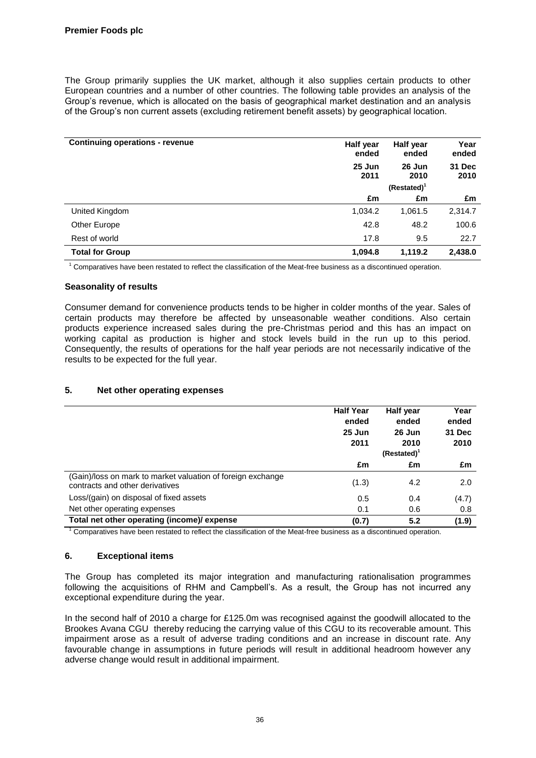The Group primarily supplies the UK market, although it also supplies certain products to other European countries and a number of other countries. The following table provides an analysis of the Group"s revenue, which is allocated on the basis of geographical market destination and an analysis of the Group"s non current assets (excluding retirement benefit assets) by geographical location.

| <b>Continuing operations - revenue</b> | Half year<br>ended | Half year<br>ended | Year<br>ended         |
|----------------------------------------|--------------------|--------------------|-----------------------|
|                                        | 25 Jun<br>2011     | 26 Jun<br>2010     | <b>31 Dec</b><br>2010 |
|                                        |                    | $(Restated)^1$     |                       |
|                                        | £m                 | £m                 | £m                    |
| United Kingdom                         | 1,034.2            | 1,061.5            | 2,314.7               |
| Other Europe                           | 42.8               | 48.2               | 100.6                 |
| Rest of world                          | 17.8               | 9.5                | 22.7                  |
| <b>Total for Group</b>                 | 1.094.8            | 1.119.2            | 2,438.0               |

 $<sup>1</sup>$  Comparatives have been restated to reflect the classification of the Meat-free business as a discontinued operation.</sup>

### **Seasonality of results**

Consumer demand for convenience products tends to be higher in colder months of the year. Sales of certain products may therefore be affected by unseasonable weather conditions. Also certain products experience increased sales during the pre-Christmas period and this has an impact on working capital as production is higher and stock levels build in the run up to this period. Consequently, the results of operations for the half year periods are not necessarily indicative of the results to be expected for the full year.

### **5. Net other operating expenses**

|                                                                                                | <b>Half Year</b><br>ended<br>25 Jun<br>2011 | Half year<br>ended<br>26 Jun<br>2010<br>$(Restated)^T$ | Year<br>ended<br>31 Dec<br>2010 |
|------------------------------------------------------------------------------------------------|---------------------------------------------|--------------------------------------------------------|---------------------------------|
|                                                                                                | £m                                          | £m                                                     | £m                              |
| (Gain)/loss on mark to market valuation of foreign exchange<br>contracts and other derivatives | (1.3)                                       | 4.2                                                    | 2.0                             |
| Loss/(gain) on disposal of fixed assets                                                        | 0.5                                         | 0.4                                                    | (4.7)                           |
| Net other operating expenses                                                                   | 0.1                                         | 0.6                                                    | 0.8                             |
| Total net other operating (income)/ expense                                                    | (0.7)                                       | 5.2                                                    | (1.9)                           |

<sup>1</sup> Comparatives have been restated to reflect the classification of the Meat-free business as a discontinued operation.

### **6. Exceptional items**

The Group has completed its major integration and manufacturing rationalisation programmes following the acquisitions of RHM and Campbell"s. As a result, the Group has not incurred any exceptional expenditure during the year.

In the second half of 2010 a charge for £125.0m was recognised against the goodwill allocated to the Brookes Avana CGU thereby reducing the carrying value of this CGU to its recoverable amount. This impairment arose as a result of adverse trading conditions and an increase in discount rate. Any favourable change in assumptions in future periods will result in additional headroom however any adverse change would result in additional impairment.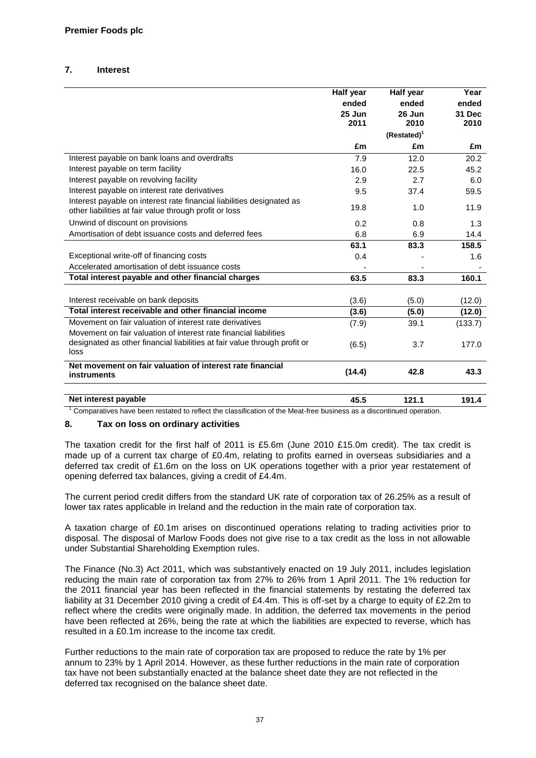### **7. Interest**

|                                                                                                                                                        | <b>Half year</b> | <b>Half year</b> | Year           |
|--------------------------------------------------------------------------------------------------------------------------------------------------------|------------------|------------------|----------------|
|                                                                                                                                                        | ended            | ended            | ended          |
|                                                                                                                                                        | 25 Jun<br>2011   | 26 Jun<br>2010   | 31 Dec<br>2010 |
|                                                                                                                                                        |                  | $(Restated)^1$   |                |
|                                                                                                                                                        | £m               | £m               | £m             |
| Interest payable on bank loans and overdrafts                                                                                                          | 7.9              | 12.0             | 20.2           |
| Interest payable on term facility                                                                                                                      | 16.0             | 22.5             | 45.2           |
| Interest payable on revolving facility                                                                                                                 | 2.9              | 2.7              | 6.0            |
| Interest payable on interest rate derivatives                                                                                                          | 9.5              | 37.4             | 59.5           |
| Interest payable on interest rate financial liabilities designated as<br>other liabilities at fair value through profit or loss                        | 19.8             | 1.0              | 11.9           |
| Unwind of discount on provisions                                                                                                                       | 0.2              | 0.8              | 1.3            |
| Amortisation of debt issuance costs and deferred fees                                                                                                  | 6.8              | 6.9              | 14.4           |
|                                                                                                                                                        | 63.1             | 83.3             | 158.5          |
| Exceptional write-off of financing costs                                                                                                               | 0.4              |                  | 1.6            |
| Accelerated amortisation of debt issuance costs                                                                                                        |                  |                  |                |
| Total interest payable and other financial charges                                                                                                     | 63.5             | 83.3             | 160.1          |
|                                                                                                                                                        |                  |                  |                |
| Interest receivable on bank deposits                                                                                                                   | (3.6)            | (5.0)            | (12.0)         |
| Total interest receivable and other financial income                                                                                                   | (3.6)            | (5.0)            | (12.0)         |
| Movement on fair valuation of interest rate derivatives                                                                                                | (7.9)            | 39.1             | (133.7)        |
| Movement on fair valuation of interest rate financial liabilities<br>designated as other financial liabilities at fair value through profit or<br>loss | (6.5)            | 3.7              | 177.0          |
| Net movement on fair valuation of interest rate financial<br>instruments                                                                               | (14.4)           | 42.8             | 43.3           |
| Net interest payable                                                                                                                                   | 45.5             | 121.1            | 191.4          |

 $1$  Comparatives have been restated to reflect the classification of the Meat-free business as a discontinued operation.

### **8. Tax on loss on ordinary activities**

The taxation credit for the first half of 2011 is £5.6m (June 2010 £15.0m credit). The tax credit is made up of a current tax charge of £0.4m, relating to profits earned in overseas subsidiaries and a deferred tax credit of £1.6m on the loss on UK operations together with a prior year restatement of opening deferred tax balances, giving a credit of £4.4m.

The current period credit differs from the standard UK rate of corporation tax of 26.25% as a result of lower tax rates applicable in Ireland and the reduction in the main rate of corporation tax.

A taxation charge of £0.1m arises on discontinued operations relating to trading activities prior to disposal. The disposal of Marlow Foods does not give rise to a tax credit as the loss in not allowable under Substantial Shareholding Exemption rules.

The Finance (No.3) Act 2011, which was substantively enacted on 19 July 2011, includes legislation reducing the main rate of corporation tax from 27% to 26% from 1 April 2011. The 1% reduction for the 2011 financial year has been reflected in the financial statements by restating the deferred tax liability at 31 December 2010 giving a credit of £4.4m. This is off-set by a charge to equity of £2.2m to reflect where the credits were originally made. In addition, the deferred tax movements in the period have been reflected at 26%, being the rate at which the liabilities are expected to reverse, which has resulted in a £0.1m increase to the income tax credit.

Further reductions to the main rate of corporation tax are proposed to reduce the rate by 1% per annum to 23% by 1 April 2014. However, as these further reductions in the main rate of corporation tax have not been substantially enacted at the balance sheet date they are not reflected in the deferred tax recognised on the balance sheet date.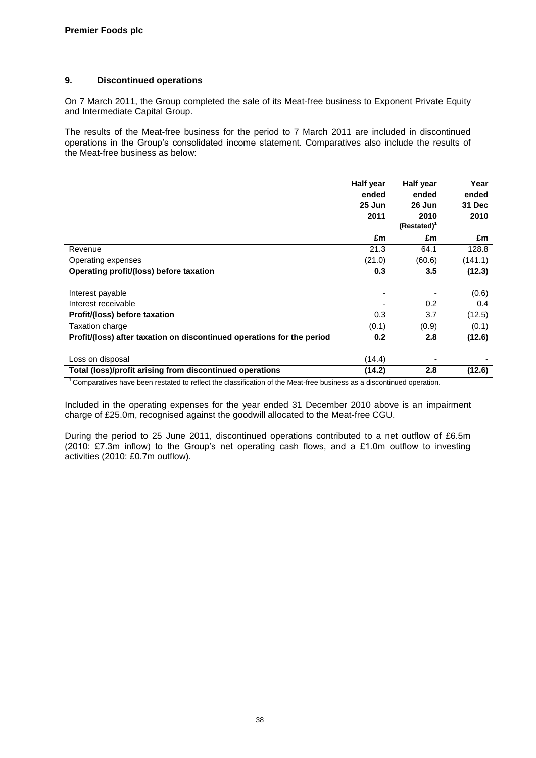### **9. Discontinued operations**

On 7 March 2011, the Group completed the sale of its Meat-free business to Exponent Private Equity and Intermediate Capital Group.

The results of the Meat-free business for the period to 7 March 2011 are included in discontinued operations in the Group"s consolidated income statement. Comparatives also include the results of the Meat-free business as below:

|                                                                                                                                  | Half year | <b>Half year</b> | Year    |
|----------------------------------------------------------------------------------------------------------------------------------|-----------|------------------|---------|
|                                                                                                                                  |           |                  |         |
|                                                                                                                                  | ended     | ended            | ended   |
|                                                                                                                                  | 25 Jun    | 26 Jun           | 31 Dec  |
|                                                                                                                                  | 2011      | 2010             | 2010    |
|                                                                                                                                  |           | $(Restated)^T$   |         |
|                                                                                                                                  | £m        | £m               | £m      |
| Revenue                                                                                                                          | 21.3      | 64.1             | 128.8   |
| Operating expenses                                                                                                               | (21.0)    | (60.6)           | (141.1) |
| Operating profit/(loss) before taxation                                                                                          | 0.3       | 3.5              | (12.3)  |
|                                                                                                                                  |           |                  |         |
| Interest payable                                                                                                                 |           |                  | (0.6)   |
| Interest receivable                                                                                                              |           | 0.2              | 0.4     |
| Profit/(loss) before taxation                                                                                                    | 0.3       | 3.7              | (12.5)  |
| <b>Taxation charge</b>                                                                                                           | (0.1)     | (0.9)            | (0.1)   |
| Profit/(loss) after taxation on discontinued operations for the period                                                           | 0.2       | 2.8              | (12.6)  |
|                                                                                                                                  |           |                  |         |
| Loss on disposal                                                                                                                 | (14.4)    |                  |         |
| Total (loss)/profit arising from discontinued operations                                                                         | (14.2)    | 2.8              | (12.6)  |
| $\frac{1}{2}$ Comparatives have been restated to reflect the eleccification of the Meat free business as a discontinued eperties |           |                  |         |

<sup>1</sup>Comparatives have been restated to reflect the classification of the Meat-free business as a discontinued operation.

Included in the operating expenses for the year ended 31 December 2010 above is an impairment charge of £25.0m, recognised against the goodwill allocated to the Meat-free CGU.

During the period to 25 June 2011, discontinued operations contributed to a net outflow of £6.5m (2010: £7.3m inflow) to the Group"s net operating cash flows, and a £1.0m outflow to investing activities (2010: £0.7m outflow).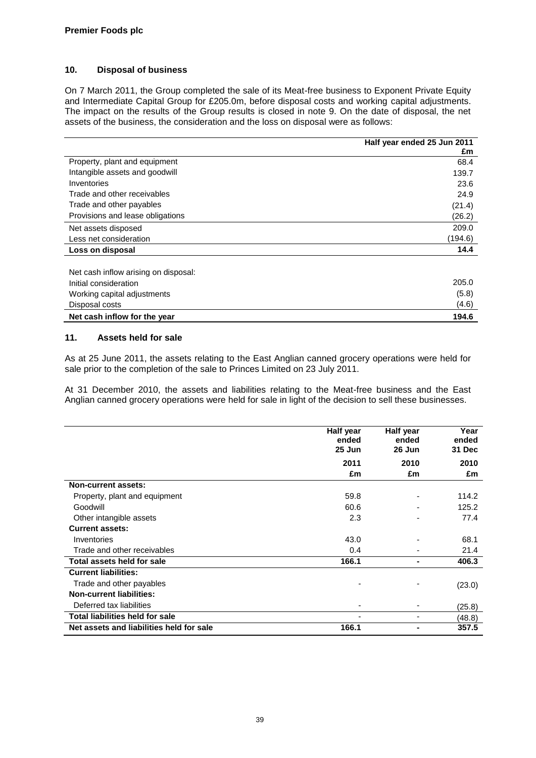### **10. Disposal of business**

On 7 March 2011, the Group completed the sale of its Meat-free business to Exponent Private Equity and Intermediate Capital Group for £205.0m, before disposal costs and working capital adjustments. The impact on the results of the Group results is closed in note 9. On the date of disposal, the net assets of the business, the consideration and the loss on disposal were as follows:

|                                      | Half year ended 25 Jun 2011<br>£m |
|--------------------------------------|-----------------------------------|
| Property, plant and equipment        | 68.4                              |
| Intangible assets and goodwill       | 139.7                             |
| Inventories                          | 23.6                              |
| Trade and other receivables          | 24.9                              |
| Trade and other payables             | (21.4)                            |
| Provisions and lease obligations     | (26.2)                            |
| Net assets disposed                  | 209.0                             |
| Less net consideration               | (194.6)                           |
| Loss on disposal                     | 14.4                              |
|                                      |                                   |
| Net cash inflow arising on disposal: |                                   |
| Initial consideration                | 205.0                             |
| Working capital adjustments          | (5.8)                             |
| Disposal costs                       | (4.6)                             |
| Net cash inflow for the year         | 194.6                             |

## **11. Assets held for sale**

As at 25 June 2011, the assets relating to the East Anglian canned grocery operations were held for sale prior to the completion of the sale to Princes Limited on 23 July 2011.

At 31 December 2010, the assets and liabilities relating to the Meat-free business and the East Anglian canned grocery operations were held for sale in light of the decision to sell these businesses.

|                                          | Half year<br>ended<br>25 Jun | Half year<br>ended<br>26 Jun | Year<br>ended<br>31 Dec |
|------------------------------------------|------------------------------|------------------------------|-------------------------|
|                                          | 2011                         | 2010                         | 2010                    |
|                                          | £m                           | £m                           | £m                      |
| <b>Non-current assets:</b>               |                              |                              |                         |
| Property, plant and equipment            | 59.8                         |                              | 114.2                   |
| Goodwill                                 | 60.6                         |                              | 125.2                   |
| Other intangible assets                  | 2.3                          |                              | 77.4                    |
| <b>Current assets:</b>                   |                              |                              |                         |
| Inventories                              | 43.0                         |                              | 68.1                    |
| Trade and other receivables              | 0.4                          |                              | 21.4                    |
| Total assets held for sale               | 166.1                        | $\blacksquare$               | 406.3                   |
| <b>Current liabilities:</b>              |                              |                              |                         |
| Trade and other payables                 |                              |                              | (23.0)                  |
| <b>Non-current liabilities:</b>          |                              |                              |                         |
| Deferred tax liabilities                 |                              |                              | (25.8)                  |
| <b>Total liabilities held for sale</b>   | -                            | $\overline{a}$               | (48.8)                  |
| Net assets and liabilities held for sale | 166.1                        |                              | 357.5                   |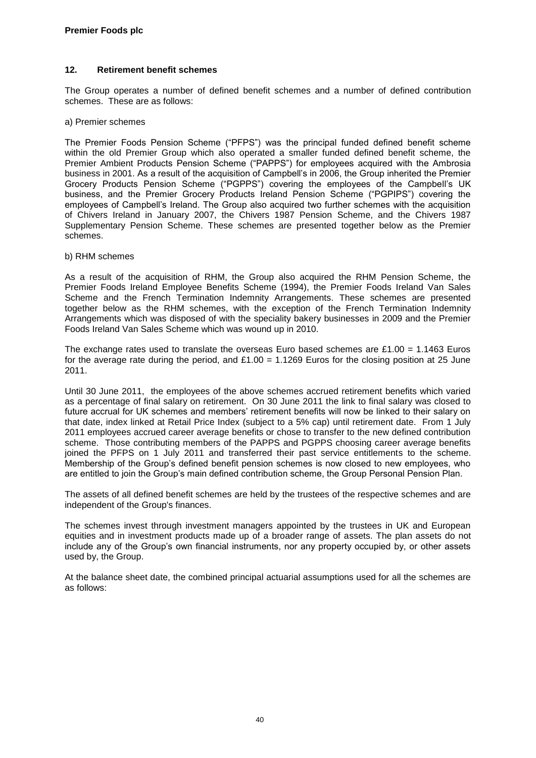### **12. Retirement benefit schemes**

The Group operates a number of defined benefit schemes and a number of defined contribution schemes. These are as follows:

### a) Premier schemes

The Premier Foods Pension Scheme ("PFPS") was the principal funded defined benefit scheme within the old Premier Group which also operated a smaller funded defined benefit scheme, the Premier Ambient Products Pension Scheme ("PAPPS") for employees acquired with the Ambrosia business in 2001. As a result of the acquisition of Campbell"s in 2006, the Group inherited the Premier Grocery Products Pension Scheme ("PGPPS") covering the employees of the Campbell"s UK business, and the Premier Grocery Products Ireland Pension Scheme ("PGPIPS") covering the employees of Campbell"s Ireland. The Group also acquired two further schemes with the acquisition of Chivers Ireland in January 2007, the Chivers 1987 Pension Scheme, and the Chivers 1987 Supplementary Pension Scheme. These schemes are presented together below as the Premier schemes.

### b) RHM schemes

As a result of the acquisition of RHM, the Group also acquired the RHM Pension Scheme, the Premier Foods Ireland Employee Benefits Scheme (1994), the Premier Foods Ireland Van Sales Scheme and the French Termination Indemnity Arrangements. These schemes are presented together below as the RHM schemes, with the exception of the French Termination Indemnity Arrangements which was disposed of with the speciality bakery businesses in 2009 and the Premier Foods Ireland Van Sales Scheme which was wound up in 2010.

The exchange rates used to translate the overseas Euro based schemes are £1.00 = 1.1463 Euros for the average rate during the period, and  $£1.00 = 1.1269$  Euros for the closing position at 25 June 2011.

Until 30 June 2011, the employees of the above schemes accrued retirement benefits which varied as a percentage of final salary on retirement. On 30 June 2011 the link to final salary was closed to future accrual for UK schemes and members' retirement benefits will now be linked to their salary on that date, index linked at Retail Price Index (subject to a 5% cap) until retirement date. From 1 July 2011 employees accrued career average benefits or chose to transfer to the new defined contribution scheme. Those contributing members of the PAPPS and PGPPS choosing career average benefits joined the PFPS on 1 July 2011 and transferred their past service entitlements to the scheme. Membership of the Group"s defined benefit pension schemes is now closed to new employees, who are entitled to join the Group"s main defined contribution scheme, the Group Personal Pension Plan.

The assets of all defined benefit schemes are held by the trustees of the respective schemes and are independent of the Group's finances.

The schemes invest through investment managers appointed by the trustees in UK and European equities and in investment products made up of a broader range of assets. The plan assets do not include any of the Group's own financial instruments, nor any property occupied by, or other assets used by, the Group.

At the balance sheet date, the combined principal actuarial assumptions used for all the schemes are as follows: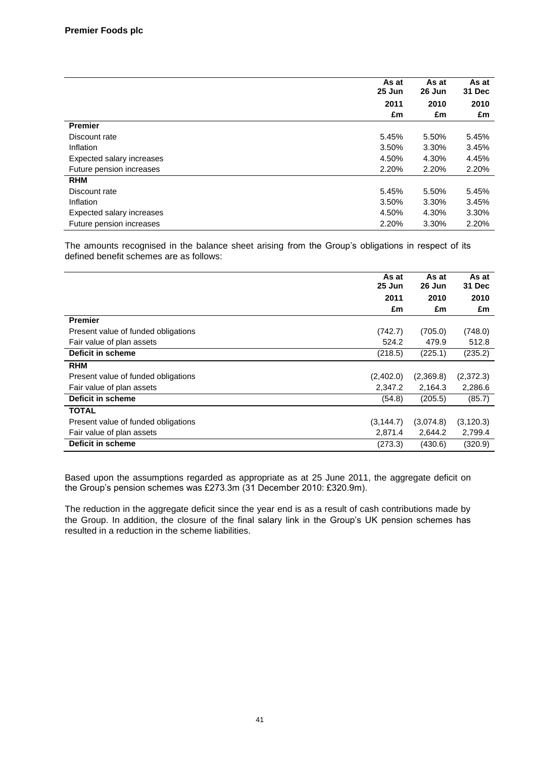|                           | As at<br>25 Jun | As at<br>26 Jun | As at<br>31 Dec |
|---------------------------|-----------------|-----------------|-----------------|
|                           | 2011            | 2010            | 2010            |
|                           | £m              | £m              | £m              |
| <b>Premier</b>            |                 |                 |                 |
| Discount rate             | 5.45%           | 5.50%           | 5.45%           |
| Inflation                 | 3.50%           | 3.30%           | 3.45%           |
| Expected salary increases | 4.50%           | 4.30%           | 4.45%           |
| Future pension increases  | 2.20%           | 2.20%           | 2.20%           |
| <b>RHM</b>                |                 |                 |                 |
| Discount rate             | 5.45%           | 5.50%           | 5.45%           |
| Inflation                 | 3.50%           | 3.30%           | 3.45%           |
| Expected salary increases | 4.50%           | 4.30%           | 3.30%           |
| Future pension increases  | 2.20%           | 3.30%           | 2.20%           |

The amounts recognised in the balance sheet arising from the Group's obligations in respect of its defined benefit schemes are as follows:

|                                     | As at<br>25 Jun | As at<br>26 Jun | As at<br>31 Dec |
|-------------------------------------|-----------------|-----------------|-----------------|
|                                     | 2011            | 2010            | 2010            |
|                                     | £m              | £m              | £m              |
| <b>Premier</b>                      |                 |                 |                 |
| Present value of funded obligations | (742.7)         | (705.0)         | (748.0)         |
| Fair value of plan assets           | 524.2           | 479.9           | 512.8           |
| Deficit in scheme                   | (218.5)         | (225.1)         | (235.2)         |
| <b>RHM</b>                          |                 |                 |                 |
| Present value of funded obligations | (2,402.0)       | (2,369.8)       | (2,372.3)       |
| Fair value of plan assets           | 2,347.2         | 2,164.3         | 2,286.6         |
| Deficit in scheme                   | (54.8)          | (205.5)         | (85.7)          |
| <b>TOTAL</b>                        |                 |                 |                 |
| Present value of funded obligations | (3, 144.7)      | (3,074.8)       | (3, 120.3)      |
| Fair value of plan assets           | 2,871.4         | 2,644.2         | 2,799.4         |
| Deficit in scheme                   | (273.3)         | (430.6)         | (320.9)         |

Based upon the assumptions regarded as appropriate as at 25 June 2011, the aggregate deficit on the Group"s pension schemes was £273.3m (31 December 2010: £320.9m).

The reduction in the aggregate deficit since the year end is as a result of cash contributions made by the Group. In addition, the closure of the final salary link in the Group's UK pension schemes has resulted in a reduction in the scheme liabilities.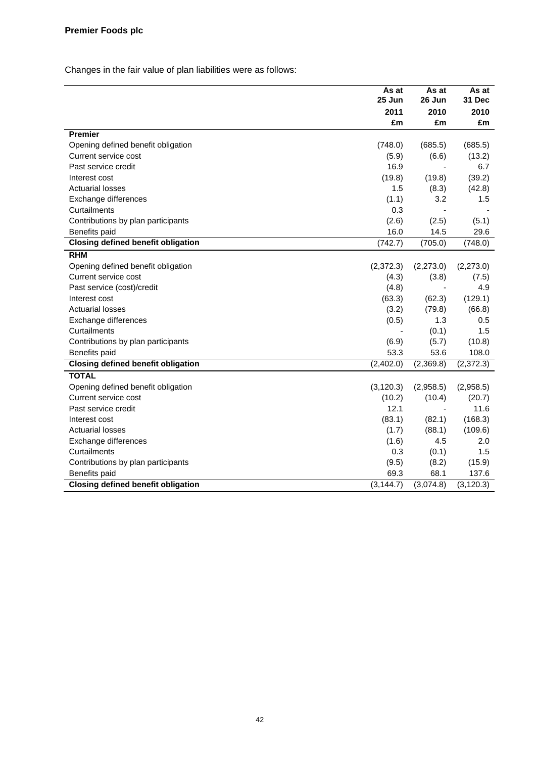Changes in the fair value of plan liabilities were as follows:

|                                           | As at<br>25 Jun | As at<br>26 Jun | As at<br>31 Dec |
|-------------------------------------------|-----------------|-----------------|-----------------|
|                                           | 2011            | 2010            | 2010            |
|                                           | £m              | £m              | £m              |
| <b>Premier</b>                            |                 |                 |                 |
| Opening defined benefit obligation        | (748.0)         | (685.5)         | (685.5)         |
| Current service cost                      | (5.9)           | (6.6)           | (13.2)          |
| Past service credit                       | 16.9            |                 | 6.7             |
| Interest cost                             | (19.8)          | (19.8)          | (39.2)          |
| <b>Actuarial losses</b>                   | 1.5             | (8.3)           | (42.8)          |
| Exchange differences                      | (1.1)           | 3.2             | 1.5             |
| Curtailments                              | 0.3             |                 |                 |
| Contributions by plan participants        | (2.6)           | (2.5)           | (5.1)           |
| Benefits paid                             | 16.0            | 14.5            | 29.6            |
| <b>Closing defined benefit obligation</b> | (742.7)         | (705.0)         | (748.0)         |
| <b>RHM</b>                                |                 |                 |                 |
| Opening defined benefit obligation        | (2,372.3)       | (2,273.0)       | (2,273.0)       |
| Current service cost                      | (4.3)           | (3.8)           | (7.5)           |
| Past service (cost)/credit                | (4.8)           |                 | 4.9             |
| Interest cost                             | (63.3)          | (62.3)          | (129.1)         |
| <b>Actuarial losses</b>                   | (3.2)           | (79.8)          | (66.8)          |
| Exchange differences                      | (0.5)           | 1.3             | 0.5             |
| Curtailments                              |                 | (0.1)           | 1.5             |
| Contributions by plan participants        | (6.9)           | (5.7)           | (10.8)          |
| Benefits paid                             | 53.3            | 53.6            | 108.0           |
| <b>Closing defined benefit obligation</b> | (2,402.0)       | (2,369.8)       | (2, 372.3)      |
| <b>TOTAL</b>                              |                 |                 |                 |
| Opening defined benefit obligation        | (3, 120.3)      | (2,958.5)       | (2,958.5)       |
| Current service cost                      | (10.2)          | (10.4)          | (20.7)          |
| Past service credit                       | 12.1            |                 | 11.6            |
| Interest cost                             | (83.1)          | (82.1)          | (168.3)         |
| <b>Actuarial losses</b>                   | (1.7)           | (88.1)          | (109.6)         |
| Exchange differences                      | (1.6)           | 4.5             | 2.0             |
| Curtailments                              | 0.3             | (0.1)           | 1.5             |
| Contributions by plan participants        | (9.5)           | (8.2)           | (15.9)          |
| Benefits paid                             | 69.3            | 68.1            | 137.6           |
| <b>Closing defined benefit obligation</b> | (3, 144.7)      | (3,074.8)       | (3, 120.3)      |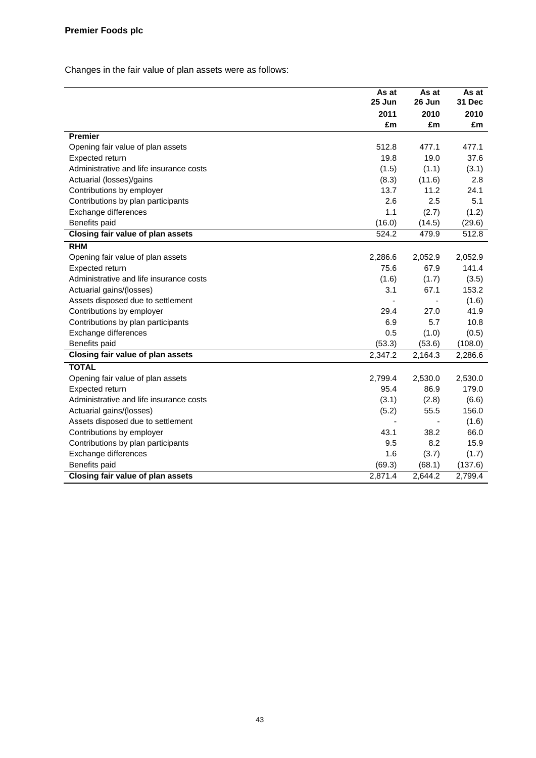Changes in the fair value of plan assets were as follows:

|                                         | As at<br>25 Jun | As at<br>26 Jun | As at<br><b>31 Dec</b> |
|-----------------------------------------|-----------------|-----------------|------------------------|
|                                         | 2011            | 2010            | 2010                   |
|                                         | £m              | £m              | £m                     |
| <b>Premier</b>                          |                 |                 |                        |
| Opening fair value of plan assets       | 512.8           | 477.1           | 477.1                  |
| Expected return                         | 19.8            | 19.0            | 37.6                   |
| Administrative and life insurance costs | (1.5)           | (1.1)           | (3.1)                  |
| Actuarial (losses)/gains                | (8.3)           | (11.6)          | 2.8                    |
| Contributions by employer               | 13.7            | 11.2            | 24.1                   |
| Contributions by plan participants      | 2.6             | 2.5             | 5.1                    |
| Exchange differences                    | 1.1             | (2.7)           | (1.2)                  |
| Benefits paid                           | (16.0)          | (14.5)          | (29.6)                 |
| Closing fair value of plan assets       | 524.2           | 479.9           | 512.8                  |
| <b>RHM</b>                              |                 |                 |                        |
| Opening fair value of plan assets       | 2,286.6         | 2,052.9         | 2,052.9                |
| Expected return                         | 75.6            | 67.9            | 141.4                  |
| Administrative and life insurance costs | (1.6)           | (1.7)           | (3.5)                  |
| Actuarial gains/(losses)                | 3.1             | 67.1            | 153.2                  |
| Assets disposed due to settlement       |                 |                 | (1.6)                  |
| Contributions by employer               | 29.4            | 27.0            | 41.9                   |
| Contributions by plan participants      | 6.9             | 5.7             | 10.8                   |
| Exchange differences                    | 0.5             | (1.0)           | (0.5)                  |
| Benefits paid                           | (53.3)          | (53.6)          | (108.0)                |
| Closing fair value of plan assets       | 2,347.2         | 2,164.3         | 2,286.6                |
| <b>TOTAL</b>                            |                 |                 |                        |
| Opening fair value of plan assets       | 2,799.4         | 2,530.0         | 2,530.0                |
| Expected return                         | 95.4            | 86.9            | 179.0                  |
| Administrative and life insurance costs | (3.1)           | (2.8)           | (6.6)                  |
| Actuarial gains/(losses)                | (5.2)           | 55.5            | 156.0                  |
| Assets disposed due to settlement       |                 |                 | (1.6)                  |
| Contributions by employer               | 43.1            | 38.2            | 66.0                   |
| Contributions by plan participants      | 9.5             | 8.2             | 15.9                   |
| Exchange differences                    | 1.6             | (3.7)           | (1.7)                  |
| Benefits paid                           | (69.3)          | (68.1)          | (137.6)                |
| Closing fair value of plan assets       | 2,871.4         | 2,644.2         | 2,799.4                |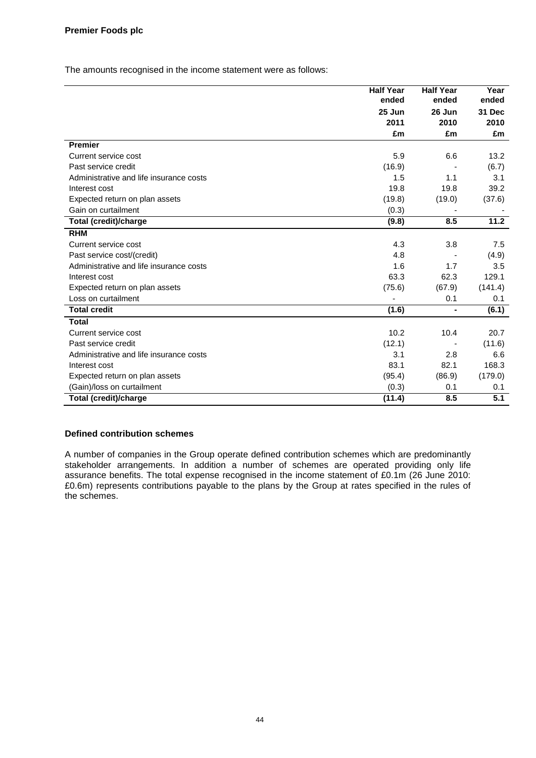The amounts recognised in the income statement were as follows:

|                                         | <b>Half Year</b> | <b>Half Year</b> | Year<br>ended |
|-----------------------------------------|------------------|------------------|---------------|
|                                         | ended            | ended            |               |
|                                         | 25 Jun           | 26 Jun           | 31 Dec        |
|                                         | 2011             | 2010             | 2010          |
|                                         | £m               | £m               | £m            |
| <b>Premier</b>                          |                  |                  |               |
| Current service cost                    | 5.9              | 6.6              | 13.2          |
| Past service credit                     | (16.9)           |                  | (6.7)         |
| Administrative and life insurance costs | 1.5              | 1.1              | 3.1           |
| Interest cost                           | 19.8             | 19.8             | 39.2          |
| Expected return on plan assets          | (19.8)           | (19.0)           | (37.6)        |
| Gain on curtailment                     | (0.3)            |                  |               |
| <b>Total (credit)/charge</b>            | (9.8)            | 8.5              | 11.2          |
| <b>RHM</b>                              |                  |                  |               |
| Current service cost                    | 4.3              | 3.8              | 7.5           |
| Past service cost/(credit)              | 4.8              |                  | (4.9)         |
| Administrative and life insurance costs | 1.6              | 1.7              | 3.5           |
| Interest cost                           | 63.3             | 62.3             | 129.1         |
| Expected return on plan assets          | (75.6)           | (67.9)           | (141.4)       |
| Loss on curtailment                     |                  | 0.1              | 0.1           |
| <b>Total credit</b>                     | (1.6)            | $\blacksquare$   | (6.1)         |
| <b>Total</b>                            |                  |                  |               |
| Current service cost                    | 10.2             | 10.4             | 20.7          |
| Past service credit                     | (12.1)           |                  | (11.6)        |
| Administrative and life insurance costs | 3.1              | 2.8              | 6.6           |
| Interest cost                           | 83.1             | 82.1             | 168.3         |
| Expected return on plan assets          | (95.4)           | (86.9)           | (179.0)       |
| (Gain)/loss on curtailment              | (0.3)            | 0.1              | 0.1           |
| <b>Total (credit)/charge</b>            | (11.4)           | 8.5              | 5.1           |

## **Defined contribution schemes**

A number of companies in the Group operate defined contribution schemes which are predominantly stakeholder arrangements. In addition a number of schemes are operated providing only life assurance benefits. The total expense recognised in the income statement of £0.1m (26 June 2010: £0.6m) represents contributions payable to the plans by the Group at rates specified in the rules of the schemes.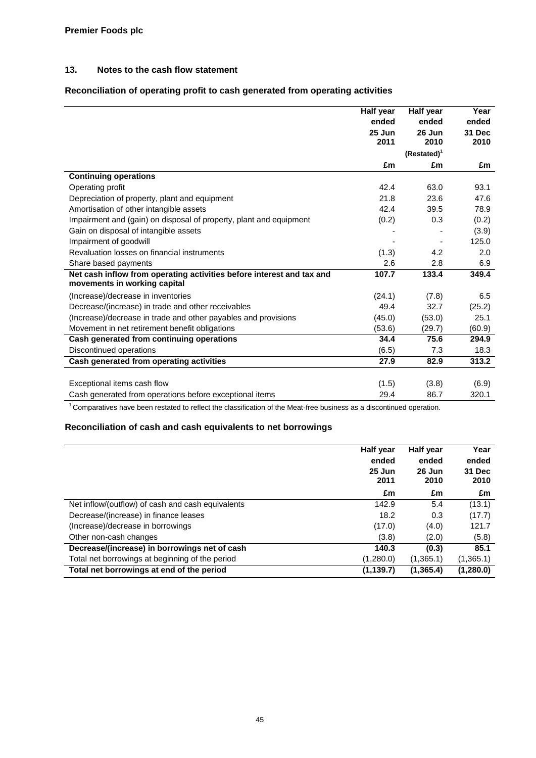## **13. Notes to the cash flow statement**

## **Reconciliation of operating profit to cash generated from operating activities**

|                                                                                                       | Half year<br>ended<br>25 Jun<br>2011 | Half year<br>ended<br>26 Jun<br>2010<br>$(Restated)^1$ | Year<br>ended<br>31 Dec<br>2010 |
|-------------------------------------------------------------------------------------------------------|--------------------------------------|--------------------------------------------------------|---------------------------------|
|                                                                                                       | £m                                   | £m                                                     | £m                              |
| <b>Continuing operations</b>                                                                          |                                      |                                                        |                                 |
| Operating profit                                                                                      | 42.4                                 | 63.0                                                   | 93.1                            |
| Depreciation of property, plant and equipment                                                         | 21.8                                 | 23.6                                                   | 47.6                            |
| Amortisation of other intangible assets                                                               | 42.4                                 | 39.5                                                   | 78.9                            |
| Impairment and (gain) on disposal of property, plant and equipment                                    | (0.2)                                | 0.3                                                    | (0.2)                           |
| Gain on disposal of intangible assets                                                                 |                                      |                                                        | (3.9)                           |
| Impairment of goodwill                                                                                |                                      |                                                        | 125.0                           |
| Revaluation losses on financial instruments                                                           | (1.3)                                | 4.2                                                    | 2.0                             |
| Share based payments                                                                                  | 2.6                                  | 2.8                                                    | 6.9                             |
| Net cash inflow from operating activities before interest and tax and<br>movements in working capital | 107.7                                | 133.4                                                  | 349.4                           |
| (Increase)/decrease in inventories                                                                    | (24.1)                               | (7.8)                                                  | 6.5                             |
| Decrease/(increase) in trade and other receivables                                                    | 49.4                                 | 32.7                                                   | (25.2)                          |
| (Increase)/decrease in trade and other payables and provisions                                        | (45.0)                               | (53.0)                                                 | 25.1                            |
| Movement in net retirement benefit obligations                                                        | (53.6)                               | (29.7)                                                 | (60.9)                          |
| Cash generated from continuing operations                                                             | 34.4                                 | 75.6                                                   | 294.9                           |
| Discontinued operations                                                                               | (6.5)                                | 7.3                                                    | 18.3                            |
| Cash generated from operating activities                                                              | 27.9                                 | 82.9                                                   | 313.2                           |
|                                                                                                       |                                      |                                                        |                                 |
| Exceptional items cash flow                                                                           | (1.5)                                | (3.8)                                                  | (6.9)                           |
| Cash generated from operations before exceptional items                                               | 29.4                                 | 86.7                                                   | 320.1                           |

 $1$ Comparatives have been restated to reflect the classification of the Meat-free business as a discontinued operation.

## **Reconciliation of cash and cash equivalents to net borrowings**

|                                                   | Half year<br>ended<br>25 Jun<br>2011 | Half year<br>ended<br>26 Jun<br>2010 | Year<br>ended<br>31 Dec<br>2010 |
|---------------------------------------------------|--------------------------------------|--------------------------------------|---------------------------------|
|                                                   | £m                                   | £m                                   | £m                              |
| Net inflow/(outflow) of cash and cash equivalents | 142.9                                | 5.4                                  | (13.1)                          |
| Decrease/(increase) in finance leases             | 18.2                                 | 0.3                                  | (17.7)                          |
| (Increase)/decrease in borrowings                 | (17.0)                               | (4.0)                                | 121.7                           |
| Other non-cash changes                            | (3.8)                                | (2.0)                                | (5.8)                           |
| Decrease/(increase) in borrowings net of cash     | 140.3                                | (0.3)                                | 85.1                            |
| Total net borrowings at beginning of the period   | (1,280.0)                            | (1,365.1)                            | (1,365.1)                       |
| Total net borrowings at end of the period         | (1, 139.7)                           | (1,365.4)                            | (1,280.0)                       |